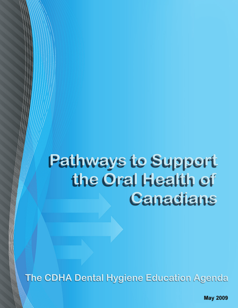# Pathways to Support the Oral Health of **Canadians**

The CDHA Dental Hygiene Education Agenda

**May 2009**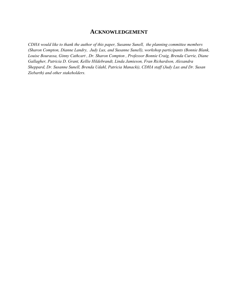#### **ACKNOWLEDGEMENT**

*CDHA would like to thank the author of this paper, Susanne Sunell, the planning committee members (Sharon Compton, Dianne Landry, Judy Lux, and Susanne Sunell), workshop participants (Bonnie Blank, Louise Bourassa, Ginny Cathcart , Dr. Sharon Compton , Professor Bonnie Craig, Brenda Currie, Diane Gallagher, Patricia D. Grant, Kellie Hildebrandt, Linda Jamieson, Fran Richardson, Alexandra Sheppard, Dr. Susanne Sunell, Brenda Udahl, Patricia Manacki), CDHA staff (Judy Lux and Dr. Susan Ziebarth) and other stakeholders.*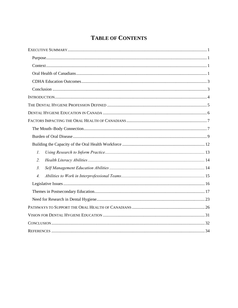# **TABLE OF CONTENTS**

| $\overline{l}$ . |  |
|------------------|--|
| $\overline{2}$ . |  |
| 3 <sub>1</sub>   |  |
| $\overline{4}$ . |  |
|                  |  |
|                  |  |
|                  |  |
|                  |  |
|                  |  |
|                  |  |
|                  |  |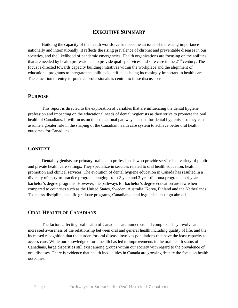## **EXECUTIVE SUMMARY**

<span id="page-3-0"></span>Building the capacity of the health workforce has become an issue of increasing importance nationally and internationally. It reflects the rising prevalence of chronic and preventable diseases in our societies, and the likelihood of pandemic emergencies. Health organizations are focusing on the abilities that are needed by health professionals to provide quality services and safe care in the  $21<sup>st</sup>$  century. The focus is directed towards capacity building initiatives within the workplace and the alignment of educational programs to integrate the abilities identified as being increasingly important in health care. The education of entry-to-practice professionals is central to these discussions.

#### **PURPOSE**

This report is directed to the exploration of variables that are influencing the dental hygiene profession and impacting on the educational needs of dental hygienists as they strive to promote the oral health of Canadians. It will focus on the educational pathways needed for dental hygienists so they can assume a greater role in the shaping of the Canadian health care system to achieve better oral health outcomes for Canadians.

#### **CONTEXT**

Dental hygienists are primary oral health professionals who provide service in a variety of public and private health care settings. They specialize in services related to oral health education, health promotion and clinical services. The evolution of dental hygiene education in Canada has resulted in a diversity of entry-to-practice programs ranging from 2-year and 3-year diploma programs to 4-year bachelor's degree programs. However, the pathways for bachelor's degree education are few when compared to countries such as the United States, Sweden, Australia, Korea, Finland and the Netherlands. To access discipline-specific graduate programs, Canadian dental hygienists must go abroad.

#### **ORAL HEALTH OF CANADIANS**

The factors affecting oral health of Canadians are numerous and complex. They involve an increased awareness of the relationship between oral and general health including quality of life, and the increased recognition that the burden for oral disease involves populations that have the least capacity to access care. While our knowledge of oral health has led to improvements in the oral health status of Canadians, large disparities still exist among groups within our society with regard to the prevalence of oral diseases. There is evidence that health inequalities in Canada are growing despite the focus on health outcomes.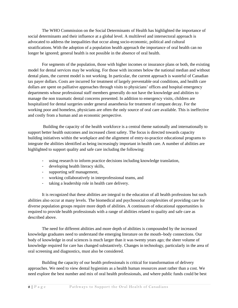The WHO Commission on the Social Determinants of Health has highlighted the importance of social determinants and their influence at a global level. A multilevel and intersectoral approach is advocated to address the inequalities that occur along socio-economic, political and cultural stratifications. With the adoption of a population health approach the importance of oral health can no longer be ignored; general health is not possible in the absence of oral health.

For segments of the population, those with higher incomes or insurance plans or both, the existing model for dental services may be working. For those with incomes below the national median and without dental plans, the current model is not working. In particular, the current approach is wasteful of Canadian tax payer dollars. Costs are incurred for treatment of largely preventable oral conditions, and health care dollars are spent on palliative approaches through visits to physicians' offices and hospital emergency departments whose professional staff members generally do not have the knowledge and abilities to manage the non traumatic dental concerns presented. In addition to emergency visits, children are hospitalized for dental surgeries under general anaesthesia for treatment of rampant decay. For the working poor and homeless, physicians are often the only source of oral care available. This is ineffective and costly from a human and an economic perspective.

 Building the capacity of the health workforce is a central theme nationally and internationally to support better health outcomes and increased client safety. The focus is directed towards capacity building initiatives within the workplace and the alignment of entry-to-practice educational programs to integrate the abilities identified as being increasingly important in health care. A number of abilities are highlighted to support quality and safe care including the following:

- using research to inform practice decisions including knowledge translation,
- developing health literacy skills,
- supporting self management,
- working collaboratively in interprofessional teams, and
- taking a leadership role in health care delivery.

It is recognized that these abilities are integral to the education of all health professions but such abilities also occur at many levels. The biomedical and psychosocial complexities of providing care for diverse population groups require more depth of abilities. A continuum of educational opportunities is required to provide health professionals with a range of abilities related to quality and safe care as described above.

The need for different abilities and more depth of abilities is compounded by the increased knowledge graduates need to understand the emerging literature on the mouth–body connections. Our body of knowledge in oral sciences is much larger than it was twenty years ago; the sheer volume of knowledge required for care has changed substantively. Changes in technology, particularly in the area of oral screening and diagnostics, must also be considered.

Building the capacity of our health professionals is critical for transformation of delivery approaches. We need to view dental hygienists as a health human resources asset rather than a cost. We need explore the best number and mix of oral health professionals, and where public funds could be best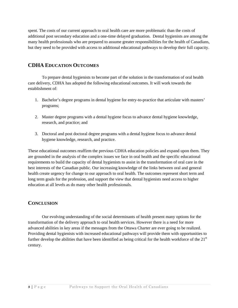<span id="page-5-0"></span>spent. The costs of our current approach to oral health care are more problematic than the costs of additional post secondary education and a one-time delayed graduation. Dental hygienists are among the many health professionals who are prepared to assume greater responsibilities for the health of Canadians, but they need to be provided with access to additional educational pathways to develop their full capacity.

## **CDHA EDUCATION OUTCOMES**

To prepare dental hygienists to become part of the solution in the transformation of oral health care delivery, CDHA has adopted the following educational outcomes. It will work towards the establishment of:

- 1. Bachelor's degree programs in dental hygiene for entry-to-practice that articulate with masters' programs;
- 2. Master degree programs with a dental hygiene focus to advance dental hygiene knowledge, research, and practice; and
- 3. Doctoral and post doctoral degree programs with a dental hygiene focus to advance dental hygiene knowledge, research, and practice.

These educational outcomes reaffirm the previous CDHA education policies and expand upon them. They are grounded in the analysis of the complex issues we face in oral health and the specific educational requirements to build the capacity of dental hygienists to assist in the transformation of oral care in the best interests of the Canadian public. Our increasing knowledge of the links between oral and general health create urgency for change to our approach to oral health. The outcomes represent short term and long term goals for the profession, and support the view that dental hygienists need access to higher education at all levels as do many other health professionals.

## **CONCLUSION**

Our evolving understanding of the social determinants of health present many options for the transformation of the delivery approach to oral health services. However there is a need for more advanced abilities in key areas if the messages from the Ottawa Charter are ever going to be realized. Providing dental hygienists with increased educational pathways will provide them with opportunities to further develop the abilities that have been identified as being critical for the health workforce of the  $21<sup>st</sup>$ century.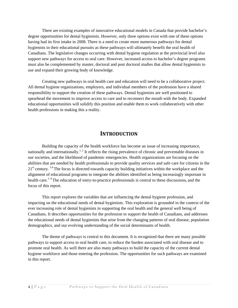<span id="page-6-0"></span>There are existing examples of innovative educational models in Canada that provide bachelor's degree opportunities for dental hygienists. However, only three options exist with one of these options having had its first intake in 2008. There is a need to create more numerous pathways for dental hygienists in their educational pursuits as these pathways will ultimately benefit the oral health of Canadians. The legislative changes occurring with dental hygiene regulation at the provincial level also support new pathways for access to oral care. However, increased access to bachelor's degree programs must also be complemented by master, doctoral and post doctoral studies that allow dental hygienists to use and expand their growing body of knowledge.

Creating new pathways in oral health care and education will need to be a collaborative project. All dental hygiene organizations, employers, and individual members of the profession have a shared responsibility to support the creation of these pathways. Dental hygienists are well positioned to spearhead the movement to improve access to care and to reconnect the mouth with the body. Expanded educational opportunities will solidify this position and enable them to work collaboratively with other health professions in making this a reality.

# **INTRODUCTION**

Building the capacity of the health workforce has become an issue of increasing importance, nationally and internationally.<sup>1, 2</sup> It reflects the rising prevalence of chronic and preventable diseases in our societies, and the likelihood of pandemic emergencies. Health organizations are focusing on the abilities that are needed by health professionals to provide quality services and safe care for citizens in the  $21<sup>st</sup>$  century. <sup>3,4</sup> The focus is directed towards capacity building initiatives within the workplace and the alignment of educational programs to integrate the abilities identified as being increasingly important in health care.<sup>1–4</sup> The education of entry-to-practice professionals is central to these discussions, and the focus of this report.

This report explores the variables that are influencing the dental hygiene profession, and impacting on the educational needs of dental hygienists. This exploration is grounded in the context of the ever increasing role of dental hygienists in supporting the oral health and the general well being of Canadians. It describes opportunities for the profession to support the health of Canadians, and addresses the educational needs of dental hygienists that arise from the changing patterns of oral disease, population demographics, and our evolving understanding of the social determinants of health.

The theme of pathways is central to this document. It is recognized that there are many possible pathways to support access to oral health care, to reduce the burden associated with oral disease and to promote oral health. As well there are also many pathways to build the capacity of the current dental hygiene workforce and those entering the profession. The opportunities for such pathways are examined in this report.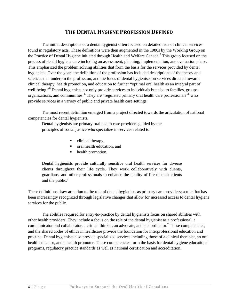# **THE DENTAL HYGIENE PROFESSION DEFINED**

<span id="page-7-0"></span>The initial descriptions of a dental hygienist often focused on detailed lists of clinical services found in regulatory acts. These definitions were then augmented in the 1980s by the Working Group on the Practice of Dental Hygiene initiated through Health and Welfare Canada.<sup>5</sup> This group focused on the process of dental hygiene care including an assessment, planning, implementation, and evaluation phase. This emphasized the problem solving abilities that form the basis for the services provided by dental hygienists. Over the years the definition of the profession has included descriptions of the theory and sciences that underpin the profession, and the focus of dental hygienists on services directed towards clinical therapy, health promotion, and education to further "optimal oral health as an integral part of well-being."<sup>6</sup> Dental hygienists not only provide services to individuals but also to families, groups, organizations, and communities. <sup>6</sup> They are "regulated primary oral health care professionals" who provide services in a variety of public and private health care settings.

The most recent definition emerged from a project directed towards the articulation of national competencies for dental hygienists.

Dental hygienists are primary oral health care providers guided by the principles of social justice who specialize in services related to:

- clinical therapy,
- oral health education, and
- health promotion.

Dental hygienists provide culturally sensitive oral health services for diverse clients throughout their life cycle. They work collaboratively with clients, guardians, and other professionals to enhance the quality of life of their clients and the public. $<sup>7</sup>$ </sup>

These definitions draw attention to the role of dental hygienists as primary care providers; a role that has been increasingly recognized through legislative changes that allow for increased access to dental hygiene services for the public.

The abilities required for entry-to-practice by dental hygienists focus on shared abilities with other health providers. They include a focus on the role of the dental hygienist as a professional, a communicator and collaborator, a critical thinker, an advocate, and a coordinator.<sup>7</sup> These competencies, and the shared codes of ethics in healthcare provide the foundation for interprofessional education and practice. Dental hygienists also provide specialized services including those of a clinical therapist, an oral health educator, and a health promoter. These competencies form the basis for dental hygiene educational programs, regulatory practice standards as well as national certification and accreditation.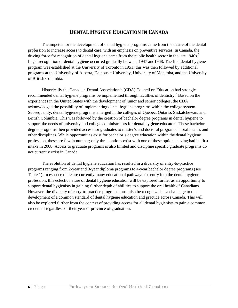# **DENTAL HYGIENE EDUCATION IN CANADA**

<span id="page-8-0"></span>The impetus for the development of dental hygiene programs came from the desire of the dental profession to increase access to dental care, with an emphasis on preventive services. In Canada, the driving force for recognition of dental hygiene came from the public health sector in the late 1940s.<sup>5</sup> Legal recognition of dental hygiene occurred gradually between 1947 and1968. The first dental hygiene program was established at the University of Toronto in 1951; this was then followed by additional programs at the University of Alberta, Dalhousie University, University of Manitoba, and the University of British Columbia.

Historically the Canadian Dental Association's (CDA) Council on Education had strongly recommended dental hygiene programs be implemented through faculties of dentistry.<sup>8</sup> Based on the experiences in the United States with the development of junior and senior colleges, the CDA acknowledged the possibility of implementing dental hygiene programs within the college system. Subsequently, dental hygiene programs emerged in the colleges of Québec, Ontario, Saskatchewan, and British Columbia. This was followed by the creation of bachelor degree programs in dental hygiene to support the needs of university and college administrators for dental hygiene educators. These bachelor degree programs then provided access for graduates to master's and doctoral programs in oral health, and other disciplines. While opportunities exist for bachelor's degree education within the dental hygiene profession, these are few in number; only three options exist with one of these options having had its first intake in 2008. Access to graduate programs is also limited and discipline specific graduate programs do not currently exist in Canada.

The evolution of dental hygiene education has resulted in a diversity of entry-to-practice programs ranging from 2-year and 3-year diploma programs to 4-year bachelor degree programs (see Table 1). In essence there are currently many educational pathways for entry into the dental hygiene profession; this eclectic nature of dental hygiene education will be explored further as an opportunity to support dental hygienists in gaining further depth of abilities to support the oral health of Canadians. However, the diversity of entry-to-practice programs must also be recognized as a challenge to the development of a common standard of dental hygiene education and practice across Canada. This will also be explored further from the context of providing access for all dental hygienists to gain a common credential regardless of their year or province of graduation.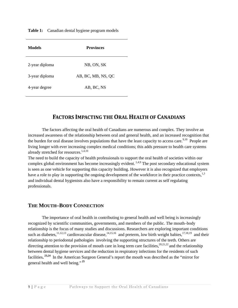<span id="page-9-0"></span>**Table 1:** Canadian dental hygiene program models

| Models         | <b>Provinces</b>   |  |  |
|----------------|--------------------|--|--|
| 2-year diploma | NB, ON, SK         |  |  |
| 3-year diploma | AB, BC, MB, NS, QC |  |  |
| 4-year degree  | AB, BC, NS         |  |  |

# **FACTORS IMPACTING THE ORAL HEALTH OF CANADIANS**

The factors affecting the oral health of Canadians are numerous and complex. They involve an increased awareness of the relationship between oral and general health, and an increased recognition that the burden for oral disease involves populations that have the least capacity to access care.<sup>9,10</sup> People are living longer with ever increasing complex medical conditions; this adds pressure to health care systems already stretched for resources.<sup>1,4,10</sup>

The need to build the capacity of health professionals to support the oral health of societies within our complex global environment has become increasingly evident.  $1,4,9$  The post secondary educational system is seen as one vehicle for supporting this capacity building. However it is also recognized that employers have a role to play in supporting the ongoing development of the workforce in their practice contexts,<sup>1,3</sup> and individual dental hygienists also have a responsibility to remain current as self regulating professionals.

#### **THE MOUTH–BODY CONNECTION**

The importance of oral health in contributing to general health and well being is increasingly recognized by scientific communities, governments, and members of the public. The mouth–body relationship is the focus of many studies and discussions. Researchers are exploring important conditions such as diabetes,<sup>11,12,13</sup> cardiovascular disease,<sup>14,15,16</sup> and preterm, low birth weight babies,<sup>17,18,19</sup> and their relationship to periodontal pathologies involving the supporting structures of the teeth. Others are directing attention to the provision of mouth care in long term care facilities,<sup>20,21,22</sup> and the relationship between dental hygiene services and the reduction in respiratory infections for the residents of such facilities**. 23,24** In the American Surgeon General's report the mouth was described as the "mirror for general health and well being."**<sup>25</sup>**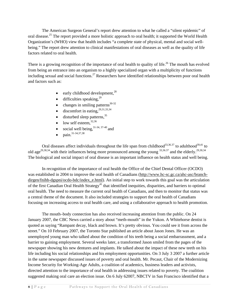The American Surgeon General's report drew attention to what he called a "silent epidemic" of oral disease.<sup>25</sup> The report provided a more holistic approach to oral health; it supported the World Health Organization's (WHO) view that health includes "a complete state of physical, mental and social wellbeing." The report drew attention to clinical manifestations of oral diseases as well as the quality of life factors related to oral health.

There is a growing recognition of the importance of oral health to quality of life.<sup>26</sup> The mouth has evolved from being an entrance into an organism to a highly specialized organ with a multiplicity of functions including sexual and social functions.<sup>27</sup> Researchers have identified relationships between poor oral health and factors such as:

- early childhood development, $^{28}$
- difficulties speaking,  $29$
- changes in smiling patterns<sup>30-32</sup>
- discomfort in eating,  $29,31,33,34$
- $\bullet$  disturbed sleep patterns,  $35$
- low self esteem. $32,36$
- social well being,  $31-34$ ,  $37-40$  and
- $\text{pain.}^{31-34,37,38}$

Oral diseases affect individuals throughout the life span from childhood<sup>33,36.37</sup> to adulthood<sup>39,41</sup> to old age<sup>29,30,34</sup> with their influences being more pronounced among the young  $33,36.37$  and the elderly.<sup>29,30,34</sup> The biological and social impact of oral disease is an important influence on health status and well being.

In recognition of the importance of oral health the Office of the Chief Dental Officer (OCDO) was established in 2004 to improve the oral health of Canadians [\(http://www.hc-sc.gc.ca/ahc-asc/branch](http://www.hc-sc.gc.ca/ahc-asc/branch-dirgen/fnihb-dgspni/ocdo-bdc/index_e.html)dirgen/fnihb-dgspni/ocdo-bdc/index e.html). An initial step to work towards this goal was the articulation of the first Canadian Oral Health Strategy<sup>41</sup> that identified inequities, disparities, and barriers to optimal oral health. The need to measure the current oral health of Canadians, and then to monitor that status was a central theme of the document. It also included strategies to support the oral health of Canadians focusing on increasing access to oral health care, and using a collaborative approach to health promotion.

The mouth–body connection has also received increasing attention from the public. On 24 January 2007, the CBC News carried a story about "meth-mouth" in the Yukon. A Whitehorse dentist is quoted as saying "Rampant decay, black and brown. It's pretty obvious. You could see it from across the street." On 10 February 2007, the Toronto Star published an article about Jason Jones. He was an unemployed young man who talked about the condition of his teeth being a social embarrassment, and a barrier to gaining employment. Several weeks later, a transformed Jason smiled from the pages of the newspaper showing his new dentures and implants. He talked about the impact of these new teeth on his life including his social relationships and his employment opportunities. On 3 July 3 2007 a further article in the same newspaper discussed issues of poverty and oral health. Mr. Pecaut, Chair of the Modernizing Income Security for Working-Age Adults, a coalition of academics, business leaders and activists, directed attention to the importance of oral health in addressing issues related to poverty. The coalition suggested making oral care an election issue. On 6 July 62007, NBCTV in San Francisco identified that a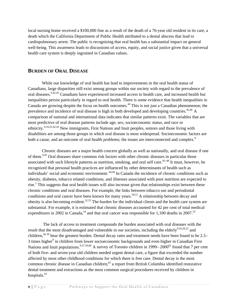<span id="page-11-0"></span>local nursing home received a \$100,000 fine as a result of the death of a 76-year old resident in its care, a death which the California Department of Public Health attributed to a dental abscess that lead to cardiopulmonary arrest. The public is recognizing that oral health has a substantial impact on general well-being. This awareness leads to discussions of access, equity, and social justice given that a universal health care system is deeply ingrained in Canadian values.

#### **BURDEN OF ORAL DISEASE**

While our knowledge of oral health has lead to improvements in the oral health status of Canadians, large disparities still exist among groups within our society with regard to the prevalence of oral diseases.<sup>9,42,43</sup> Canadians have experienced increased access to health care, and increased health but inequalities persist particularly in regard to oral health. There is some evidence that health inequalities in Canada are growing despite the focus on health outcomes.<sup>44</sup> This is not just a Canadian phenomenon; the prevalence and incidence of oral disease is high in both developed and developing countries.<sup>45,46</sup> A comparison of national and international data indicates that similar patterns exist. The variables that are most predictive of oral disease patterns include age, sex, socioeconomic status, and race or ethnicity.9,10,25,42,43 New immigrants, First Nations and Inuit peoples, seniors and those living with disabilities are among those groups in which oral disease is most widespread. Socioeconomic factors are both a cause, and an outcome of oral health problems; the issues are interconnected and complex.<sup>9</sup>

Chronic diseases are a major health concern globally as well as nationally, and oral disease if one of them.<sup>9,45</sup> Oral diseases share common risk factors with other chronic diseases in particular those associated with such lifestyle patterns as nutrition, smoking, and oral self care.<sup>45–48</sup> It must, however, be recognized that personal health practices are influenced by other determinants of health such as individuals' social and economic environment. 44,49 In Canada the incidence of chronic conditions such as obesity, diabetes, tobacco related conditions, and illnesses associated with poor nutrition are expected to rise.<sup>1</sup> This suggests that oral health issues will also increase given that relationships exist between these chronic conditions and oral diseases. For example, the links between tobacco use and periodontal conditions and oral cancer have been known for many years.<sup>50,51</sup> A relationship between decay and obesity is also becoming evident.52,53 The burden for the individual clients and the health care system are substantial. For example, it is estimated that chronic diseases accounted for 42 per cent of total medical expenditures in 2002 in Canada,<sup>54</sup> and that oral cancer was responsible for 1,100 deaths in 2007.<sup>55</sup>

 The lack of access to treatment compounds the burden associated with oral diseases with the result that the most disadvantaged and vulnerable in our societies, including the elderly<sup>9,10,20,22</sup> and children,<sup>56-59</sup> bear the greatest burden. Dental decay rates and treatment needs have been found to be 2.5– 3 times higher<sup>9</sup> in children from lower socioeconomic backgrounds and even higher in Canadian First Nations and Inuit populations.<sup>9,57,59,60</sup> A survey of Toronto children in 1999–2000<sup>61</sup> found that 7 per cent of both five- and seven-year old children needed urgent dental care, a figure that exceeded the number affected by most other childhood conditions for which there is free care. Dental decay is the most common chronic disease in Canadian children;<sup>62</sup> a report from British Columbia identified restorative dental treatment and extractions as the most common surgical procedures received by children in hospitals.<sup>63</sup>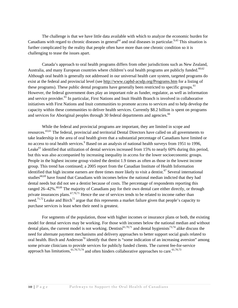The challenge is that we have little data available with which to analyze the economic burden for Canadians with regard to chronic diseases in general<sup>64</sup> and oral diseases in particular.<sup>9,43</sup> This situation is further complicated by the reality that people often have more than one chronic condition so it is challenging to tease the issues apart.

Canada's approach to oral health programs differs from other jurisdictions such as New Zealand, Australia, and many European countries where children's oral health programs are publicly funded.<sup>60,62</sup> Although oral health is generally not addressed in our universal health care system, targeted programs do exist at the federal and provincial level (see<http://www.caphd-acsdp.org/Programs.htm>for a listing of these programs). These public dental programs have generally been restricted to specific groups.<sup>61</sup> However, the federal government does play an important role as funder, regulator, as well as information and service provider.<sup>65</sup> In particular, First Nations and Inuit Health Branch is involved in collaborative initiatives with First Nations and Inuit communities to promote access to services and to help develop the capacity within these communities to deliver health services. Currently \$8.2 billion is spent on programs and services for Aboriginal peoples through 30 federal departments and agencies.<sup>66</sup>

While the federal and provincial programs are important, they are limited in scope and resources.43,61 The federal, provincial and territorial Dental Directors have called on all governments to take leadership in the area of oral health given that a substantial percentage of Canadians have limited or no access to oral health services.<sup>9</sup> Based on an analysis of national health surveys from 1951 to 1996, Leake<sup>61</sup> identified that utilization of dental services increased from 15% to nearly 60% during this period, but this was also accompanied by increasing inequality in access for the lower socioeconomic groups. People in the highest income group visited the dentist 1.9 times as often as those in the lowest income group. This trend has continued; a 2005 report from the Canadian Institute of Health Information identified that high income earners are three times more likely to visit a dentist.<sup>67</sup> Several international studies<sup>68,69</sup> have found that Canadians with incomes below the national median indicted that they had dental needs but did not see a dentist because of costs. The percentage of respondents reporting this ranged 26–42%.<sup>68,69</sup> The majority of Canadians pay for their own dental care either directly, or through private insurances plans. $67,70,71$  Hence the use of services tends to be related to income rather than need.<sup>71,72</sup> Leake and Birch<sup>72</sup> argue that this represents a market failure given that people's capacity to purchase services is least when their need is greatest.

For segments of the population, those with higher incomes or insurance plans or both, the existing model for dental services may be working. For those with incomes below the national median and without dental plans, the current model is not working. Dentists<sup>61,70,71</sup> and dental hygienists<sup>73,74</sup> alike discuss the need for alternate payment mechanisms and delivery approaches to better support social goals related to oral health. Birch and Anderson<sup>70</sup> identify that there is "some indication of an increasing aversion" among some private clinicians to provide services for publicly funded clients. The current fee-for-service approach has limitations,  $61,70,73,74$  and often hinders collaborative approaches to care.  $61,70,73$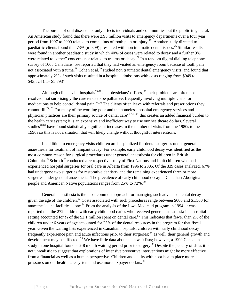The burden of oral disease not only affects individuals and communities but the public in general. An American study found that there were 2.95 million visits to emergency departments over a four year period from 1997 to 2000 related to complaints of tooth pain or injury.<sup>75</sup> Another study directed to paediatric clients found that 73% (n=809) presented with non traumatic dental issues.<sup>76</sup> Similar results were found in another paediatric study in which 40% of cases were related to decay and a further 9% were related to "other" concerns not related to trauma or decay.<sup>77</sup> In a random digital dialling telephone survey of 1005 Canadians, 5% reported that they had visited an emergency room because of tooth pain not associated with trauma.<sup>78</sup> Cohen et al.<sup>79</sup> studied non traumatic dental emergency visits, and found that approximately 2% of such visits resulted in a hospital admissions with costs ranging from \$949 to \$43,524 (m= \$5,793).

Although clients visit hospitals<sup>75-79</sup> and physicians' offices,  $80$  their problems are often not resolved; not surprisingly the care tends to be palliative, frequently involving multiple visits for medications to help control dental pain.<sup>74,76</sup> The clients often leave with referrals and prescriptions they cannot fill.<sup>74, 75</sup> For many of the working poor and the homeless, hospital emergency services and physician practices are their primary source of dental care<sup>74-76; 80</sup>; this creates an added financial burden to the health care system; it is an expensive and inefficient way to use our healthcare dollars. Several studies<sup>76,81</sup> have found statistically significant increases in the number of visits from the 1980s to the 1990s so this is not a situation that will likely change without thoughtful interventions.

In addition to emergency visits children are hospitalized for dental surgeries under general anaesthesia for treatment of rampant decay. For example, early childhood decay was identified as the most common reason for surgical procedures under general anaesthesia for children in British Columbia.<sup>63</sup> Schroth<sup>82</sup> conducted a retrospective study of First Nations and Inuit children who had experienced hospital surgeries for oral care in Alberta from 1996 to 2005. Of the 339 cases analyzed, 67% had undergone two surgeries for restorative dentistry and the remaining experienced three or more surgeries under general anaesthesia. The prevalence of early childhood decay in Canadian Aboriginal people and American Native populations ranges from 25% to 72%.<sup>59</sup>

General anaesthesia is the most common approach for managing such advanced dental decay given the age of the children.<sup>83</sup> Costs associated with such procedures range between \$600 and \$1,500 for anaesthesia and facilities alone.<sup>84</sup> From the analysis of the Iowa Medicaid program in 1994, it was reported that the 272 children with early childhood caries who received general anaesthesia in a hospital setting accounted for  $\frac{1}{4}$  of the \$2.1 million spent on dental care.<sup>85</sup> This indicates that fewer than 2% of the children under 6 years of age accounted for 25% of the dental resources in the program for that fiscal year. Given the waiting lists experienced in Canadian hospitals, children with early childhood decay frequently experience pain and acute infections prior to their surgeries; 84 as well, their general growth and development may be affected. <sup>28</sup> We have little data about such wait lists; however, a 1999 Canadian study in one hospital found a 6–8 month waiting period prior to surgery.<sup>35</sup> Despite the paucity of data, it is not unrealistic to suggest that explorations of intensive preventive interventions might be more effective from a financial as well as a human perspective. Children and adults with poor health place more pressures on our health care system and use more taxpayer dollars. 44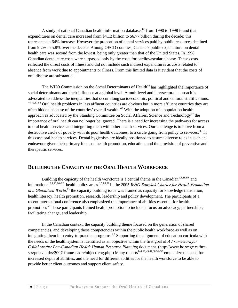<span id="page-14-0"></span>A study of national Canadian health information databases $86$  from 1990 to 1998 found that expenditures on dental care increased from \$4.12 billion to \$6.77 billion during the decade; this represented a 64% increase. However the proportion of dental services paid by public resources declined from 9.2% to 5.8% over the decade. Among OECD counties, Canada's public expenditure on dental health care was second from the lowest, being only greater than that of the United States. In 1998, Canadian dental care costs were surpassed only by the costs for cardiovascular disease. These costs reflected the direct costs of illness and did not include such indirect expenditures as costs related to absence from work due to appointments or illness. From this limited data is it evident that the costs of oral disease are substantial.

The WHO Commission on the Social Determinants of Health<sup>49</sup> has highlighted the importance of social determinants and their influence at a global level. A multilevel and intersectoral approach is advocated to address the inequalities that occur along socioeconomic, political and cultural stratifications. 44,49,87,88 Oral health problems in less affluent countries are obvious but in more affluent countries they are often hidden because of the countries' overall wealth. 48 With the adoption of a population health approach as advocated by the Standing Committee on Social Affaires, Science and Technology<sup>87</sup> the importance of oral health can no longer be ignored. There is a need for increasing the pathways for access to oral health services and integrating them with other health services. Our challenge is to move from a destructive circle of poverty with its poor health outcomes, to a circle going from policy to services, <sup>49</sup> in this case oral health services. Dental hygienists are ideally positioned to assume diverse roles in such an endeavour given their primary focus on health promotion, education, and the provision of preventive and therapeutic services.

## **BUILDING THE CAPACITY OF THE ORAL HEALTH WORKFORCE**

Building the capacity of the health workforce is a central theme in the Canadian<sup>1,3,88,89</sup> and international<sup>2,4,10,90–92</sup> health policy areas.<sup>1,3,88,89</sup> In the 2005 *WHO Bangkok Charter for Health Promotion in a Globalized World*,<sup>91</sup>, the capacity building issue was framed as capacity for knowledge translation, health literacy, health promotion, research, leadership and policy development. The participants of a recent international conference also emphasized the importance of abilities essential for health promotion.<sup>92</sup> These participants framed health promotion to include a focus on advocacy, partnerships, facilitating change, and leadership.

In the Canadian context, the capacity building theme focused on the generation of shared competencies, and developing those competencies within the public health workforce as well as on integrating them into entry-to-practice programs.<sup>1,3</sup> Supporting the alignment of education curricula with the needs of the health system is identified as an objective within the first goal of *A Framework for Collaborative Pan-Canadian Health Human Resource Planning* document. [\(http://www.hc.sc.gc.ca/hcs](http://www.hc.sc.gc.ca/hcs-sss/pubs/hhrhs/2007-frame-cadre/object-eng.php)[sss/pubs/hhrhs/2007-frame-cadre/object-eng.php](http://www.hc.sc.gc.ca/hcs-sss/pubs/hhrhs/2007-frame-cadre/object-eng.php) ) Many reports<sup>1-4,10,45,47,88,91-93</sup> emphasize the need for increased depth of abilities, and the need for different abilities for the health workforce to be able to provide better client outcomes and support client safety.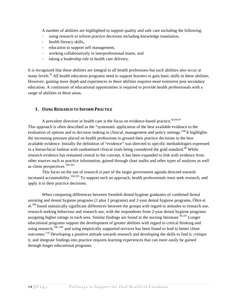<span id="page-15-0"></span>A number of abilities are highlighted to support quality and safe care including the following:

- using research to inform practice decisions including knowledge translation,
- health literacy skills,
- education to support self management,
- working collaboratively in interprofessional teams, and
- taking a leadership role in health care delivery.

It is recognized that these abilities are integral to all health professions but such abilities also occur at many levels.<sup>91</sup> All health education programs need to support learners to gain basic skills in these abilities. However, gaining more depth and experiences in these abilities requires more extensive post secondary education. A continuum of educational opportunities is required to provide health professionals with a range of abilities in these areas.

#### **1. USING RESEARCH TO INFORM PRACTICE**

A prevalent direction in health care is the focus on evidence-based practice.<sup>60,94-97</sup> This approach is often described as the "systematic application of the best available evidence to the evaluation of options and to decision making in clinical, management and policy settings."<sup>98</sup> It highlights the increasing pressure placed on health professions to ground their practice decisions in the best available evidence. Initially the definition of "evidence" was directed to specific methodologies expressed in a hierarchical fashion with randomized clinical trials being considered the gold standard.<sup>99</sup> While research evidence has remained central to the concept, it has been expanded to link with evidence from other sources such as practice information, gained through chart audits and other types of analyses as well as client perspectives.100-103

This focus on the use of research is part of the larger government agenda directed towards increased accountability.<sup>104,105</sup> To support such an approach, health professionals must seek research, and apply it to their practice decisions.

When comparing differences between Swedish dental hygiene graduates of combined dental assisting and dental hygiene programs (1 plus 1 programs) and 2-year dental hygiene programs, Öhrn et  $al.<sup>106</sup>$  found statistically significant differences between the groups with regard to attitudes to research use, research seeking behaviour and research use, with the respondents from 2-year dental hygiene programs assigning higher ratings in each area. Similar findings are found in the nursing literature.<sup>96,107</sup> Longer educational programs support the development of greater abilities with regard to critical thinking and using research,<sup>106–109</sup> and using empirically supported services has been found to lead to better client outcomes.110 Developing a positive attitude towards research and developing the skills to find it, critique it, and integrate findings into practice requires learning experiences that can more easily be gained through longer educational programs.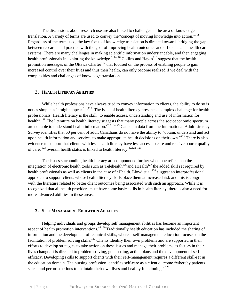<span id="page-16-0"></span>The discussions about research use are also linked to challenges in the area of knowledge translation. A variety of terms are used to convey the*"*concept of moving knowledge into action."111 Regardless of the term used, the key focus of knowledge translation is directed towards bridging the gap between research and practice with the goal of improving health outcomes and efficiencies in health care systems. There are many challenges in making scientific information understandable, and then engaging health professionals in exploring the knowledge.<sup>111–116</sup> Collins and Hayes<sup>116</sup> suggest that the health promotion messages of the Ottawa Charter<sup>117</sup> that focused on the process of enabling people to gain increased control over their lives and thus their health, can only become realized if we deal with the complexities and challenges of knowledge translation.

#### **2. HEALTH LITERACY ABILITIES**

While health professions have always tried to convey information to clients, the ability to do so is not as simple as it might appear.<sup>118,119</sup> The issue of health literacy presents a complex challenge for health professionals. Health literacy is the skill "to enable access, understanding and use of information for health".<sup>118</sup> The literature on health literacy suggests that many people across the socioeconomic spectrum are not able to understand health information.42, 118–123 Canadian data from the International Adult Literacy Survey identifies that 60 per cent of adult Canadians do not have the ability to "obtain, understand and act upon health information and services to make appropriate health decisions on their own."<sup>123</sup> There is also evidence to support that clients with less health literacy have less access to care and receive poorer quality of care;  $123$  overall, health status is linked to health literacy.  $42,122-125$ 

The issues surrounding health literacy are compounded further when one reflects on the integration of electronic health tools such as Telehealth<sup>126</sup> and eHealth<sup>127</sup> the added skill set required by health professionals as well as clients in the case of eHealth. Lloyd et al.<sup>128</sup> suggest an interprofessional approach to support clients whose health literacy skills place them at increased risk and this is congruent with the literature related to better client outcomes being associated with such an approach. While it is recognized that all health providers must have some basic skills in health literacy, there is also a need for more advanced abilities in these areas.

#### **3. SELF MANAGEMENT EDUCATION ABILITIES**

Helping individuals and groups develop self management abilities has become an important aspect of health promotion interventions.<sup>46,129</sup> Traditionally health education has included the sharing of information and the development of technical skills, whereas self-management education focuses on the facilitation of problem solving skills.<sup>130</sup> Clients identify their own problems and are supported in their efforts to develop strategies to take action on these issues and manage their problems as factors in their lives change. It is directed to problem solving, goal setting, action plans and the development of selfefficacy. Developing skills to support clients with their self-management requires a different skill-set in the education domain. The nursing profession identifies self-care as a client outcome "whereby patients select and perform actions to maintain their own lives and healthy functioning."<sup>126</sup>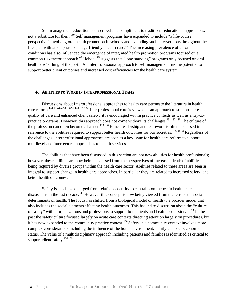<span id="page-17-0"></span>Self management education is described as a compliment to traditional educational approaches, not a substitute for them.<sup>130</sup> Self management programs have expanded to include "a life-course" perspective" involving oral health promotion in schools and extending such interventions throughout the life span with an emphasis on "age-friendly" health care.<sup>46</sup> The increasing prevalence of chronic conditions has also influenced the emergence of integrated health promotion programs focused on a common risk factor approach.<sup>48</sup> Hobdell<sup>48</sup> suggests that "lone-standing" programs only focused on oral health are "a thing of the past." An interprofessional approach to self management has the potential to support better client outcomes and increased cost efficiencies for the health care system.

#### **4. ABILITIES TO WORK IN INTERPROFESSIONAL TEAMS**

Discussions about interprofessional approaches to health care permeate the literature in health care reform.<sup>1–4,10,44–47,88,90,91,128,131,132</sup> Interprofessional care is viewed as an approach to support increased quality of care and enhanced client safety; it is encouraged within practice contexts as well as entry-topractice programs. However, this approach does not come without its challenges.<sup>131,133-135</sup> The culture of the profession can often become a barrier.<sup>133,136</sup> Hence leadership and teamwork is often discussed in reference to the abilities required to support better health outcomes for our societies.<sup>1–4,90–93</sup> Regardless of the challenges, interprofessional approaches are seen as a key issue for health care reform to support multilevel and intersectoral approaches to health services.

The abilities that have been discussed in this section are not new abilities for health professionals; however, these abilities are now being discussed from the perspectives of increased depth of abilities being required by diverse groups within the health care sector. Abilities related to these areas are seen as integral to support change in health care approaches. In particular they are related to increased safety, and better health outcomes.

Safety issues have emerged from relative obscurity to central prominence in health care discussions in the last decade.<sup>137</sup> However this concept is now being viewed from the lens of the social determinants of health. The focus has shifted from a biological model of health to a broader model that also includes the social elements affecting health outcomes. This has led to discussion about the "culture of safety" within organizations and professions to support both clients and health professionals.<sup>93</sup> In the past the safety culture focused largely on acute care contexts directing attention largely on procedures, but it has now expanded to the community practice context.<sup>138</sup> Safety in a community context involves more complex considerations including the influence of the home environment, family and socioeconomic status. The value of a multidisciplinary approach including patients and families is identified as critical to support client safety  $^{138,139}$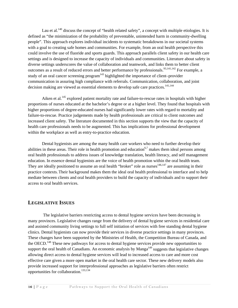<span id="page-18-0"></span>Lau et al.<sup>140</sup> discuss the concept of "health related safety", a concept with multiple etiologies. It is defined as "the minimization of the probability of preventable, unintended harm in community-dwelling people". This approach explores individual incidents to systematic breakdowns in our societal systems with a goal to creating safe homes and communities. For example, from an oral health perspective this could involve the use of fluoride and sports guards. This approach parallels client safety in our health care settings and is designed to increase the capacity of individuals and communities. Literature about safety in diverse settings underscores the value of collaboration and teamwork, and links them to better client outcomes as a result of reduced errors and better performance by professionals.<sup>93,141,142</sup> For example, a study of an oral cancer screening program<sup>143</sup> highlighted the importance of client–provider communication in assuring high compliance with referrals. Communication, collaboration, and joint decision making are viewed as essential elements to develop safe care practices.<sup>141,144</sup>

Aiken et al.<sup>145</sup> explored patient mortality rate and failure-to-rescue rates in hospitals with higher proportions of nurses educated at the bachelor's degree or at a higher level. They found that hospitals with higher proportions of degree-educated nurses had significantly lower rates with regard to mortality and failure-to-rescue. Practice judgements made by health professionals are critical to client outcomes and increased client safety. The literature documented in this section supports the view that the capacity of health care professionals needs to be augmented. This has implications for professional development within the workplace as well as entry-to-practice education.

Dental hygienists are among the many health care workers who need to further develop their abilities in these areas. Their role in health promotion and education<sup>6,7</sup> makes them ideal persons among oral health professionals to address issues of knowledge translation, health literacy, and self management education. In essence dental hygienists are the voice of health promotion within the oral health team. They are ideally positioned to assume an oral health "broker" role as nurses $146,147$  are assuming in their practice contexts. Their background makes them the ideal oral health professional to interface and to help mediate between clients and oral health providers to build the capacity of individuals and to support their access to oral health services.

## **LEGISLATIVE ISSUES**

The legislative barriers restricting access to dental hygiene services have been decreasing in many provinces. Legislative changes range from the delivery of dental hygiene services in residential care and assisted community living settings to full self initiation of services with free standing dental hygiene clinics. Dental hygienists can now provide their services in diverse practice settings in many provinces. These changes have been supported by the Ministries of Health, the Competition Bureau of Canada, and the OECD.<sup>148</sup> These new pathways for access to dental hygiene services provide new opportunities to support the oral health of Canadians. An economic analysis by  $Manga<sup>149</sup>$  suggests that legislative changes allowing direct access to dental hygiene services will lead to increased access to care and more cost effective care given a more open market in the oral health care sector. These new delivery models also provide increased support for interprofessional approaches as legislative barriers often restrict opportunities for collaboration.133,134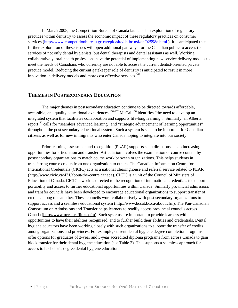<span id="page-19-0"></span>In March 2008, the Competition Bureau of Canada launched an exploration of regulatory practices within dentistry to assess the economic impact of these regulatory practices on consumer services [\(http://www.competitionbureau.gc.ca/epic/site/cb-bc.nsf/en/02598e.html \)](http://www.competitionbureau.gc.ca/epic/site/cb-bc.nsf/en/02598e.html). It is anticipated that further exploration of these issues will open additional pathways for the Canadian public to access the services of not only dental hygienists, but dental therapists and dental assistants as well. Working collaboratively, oral health professions have the potential of implementing new service delivery models to meet the needs of Canadians who currently are not able to access the current dentist-oriented private practice model. Reducing the current gatekeeper role of dentistry is anticipated to result in more innovation in delivery models and more cost effective services.<sup>149</sup>

#### **THEMES IN POSTSECONDARY EDUCATION**

The major themes in postsecondary education continue to be directed towards affordable, accessible, and quality educational experiences.<sup>150-152</sup> McCall<sup>150</sup> identifies "the need to develop an integrated system that facilitates collaboration and supports life-long learning". Similarly, an Alberta report<sup>152</sup> calls for "seamless advanced learning" and "strategic advancement of learning opportunities" throughout the post secondary educational system. Such a system is seen to be important for Canadian citizens as well as for new immigrants who enter Canada hoping to integrate into our society.

Prior learning assessment and recognition (PLAR) supports such directions, as do increasing opportunities for articulation and transfer. Articulation involves the examination of course content by postsecondary organizations to match course work between organizations. This helps students in transferring course credits from one organization to others. The Canadian Information Centre for International Credentials (CICIC) acts as a national clearinghouse and referral service related to PLAR [\(http://www.cicic.ca/431/about-the-centre.canada\)](http://www.cicic.ca/431/about-the-centre.canada). CICIC is a unit of the Council of Ministers of Education of Canada. CICIC's work is directed to the recognition of international credentials to support portability and access to further educational opportunities within Canada. Similarly provincial admissions and transfer councils have been developed to encourage educational organizations to support transfer of credits among one another. These councils work collaboratively with post secondary organizations to support access and a seamless educational system [\(http://www.bccat.bc.ca/about.cfm](http://www.bccat.bc.ca/about.cfm)). The Pan-Canadian Consortium on Admissions and Transfer helps learners to readily access provincial councils across Canada [\(http://www.pccat.ca/links.cfm\)](http://www.pccat.ca/links.cfm). Such systems are important to provide learners with opportunities to have their abilities recognized, and to further build their abilities and credentials. Dental hygiene educators have been working closely with such organizations to support the transfer of credits among organizations and provinces. For example, current dental hygiene degree completion programs offer options for graduates of 2-year and 3-year accredited diploma programs from across Canada to gain block transfer for their dental hygiene education (see Table 2). This supports a seamless approach for access to bachelor's degree dental hygiene education.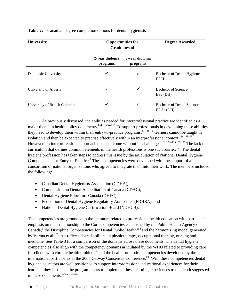| <b>University</b><br><b>Opportunities for</b><br><b>Graduates of</b> |                            |                            | <b>Degree Awarded</b>                      |  |
|----------------------------------------------------------------------|----------------------------|----------------------------|--------------------------------------------|--|
|                                                                      | 2-year diploma<br>programs | 3-year diploma<br>programs |                                            |  |
| Dalhousie University                                                 | ✓                          | ✓                          | Bachelor of Dental Hygiene -<br><b>BDH</b> |  |
| University of Alberta                                                | ✓                          | ✔                          | <b>Bachelor of Science-</b><br>BSc (DH)    |  |
| University of British Columbia                                       | √                          | ✓                          | Bachelor of Dental Science -<br>BDSc (DH)  |  |

**Table 2:** Canadian degree completion options for dental hygienists

As previously discussed, the abilities needed for interprofessional practice are identified as a major theme in health policy documents.<sup>1–4,10,45,47,91</sup> To support professionals in developing these abilities they need to develop them within their entry-to-practice programs;<sup>1,3,90,136</sup> learners cannot be taught in isolation and then be expected to practise effectively within an interprofessional context.<sup>136,153–157</sup> However, an interprofessional approach does not come without its challenges.<sup>131,133–135,153,155</sup> The lack of curriculum that defines common elements in the health professions is one such barrier.<sup>155</sup> The dental hygiene profession has taken steps to address this issue by the articulation of National Dental Hygiene Competencies for Entry-to-Practice.<sup>7</sup> These competencies were developed with the support of a consortium of national organizations who agreed to integrate them into their work. The members included the following:

- Canadian Dental Hygienists Association (CDHA),
- Commission on Dental Accreditation of Canada (CDAC),
- Dental Hygiene Educators Canada (DHEC),
- Federation of Dental Hygiene Regulatory Authorities (FDHRA), and
- National Dental Hygiene Certification Board (NDHCB).

The competencies are grounded in the literature related to professional health education with particular emphasis on their relationship to the Core Competencies established by the Public Health Agency of Canada,<sup>3</sup> the Discipline Competencies for Dental Public Health<sup>158</sup> and the harmonizing model generated by Verma et al.<sup>155</sup> that reflects shared abilities in physiotherapy, occupational therapy, nursing and medicine. See Table 3 for a comparison of the domains across these documents. The dental hygiene competencies also align with the competency domains articulated by the WHO related to providing care for clients with chronic health problems<sup>4</sup> and the health promotion competencies developed by the international participants at the 2008 Gatway Consensus Conference.<sup>92</sup> With these competencies dental hygiene educators are well positioned to support interprofessional educational experiences for their learners; they just need the program hours to implement these learning experiences to the depth suggested in these documents.3,4,92,155,158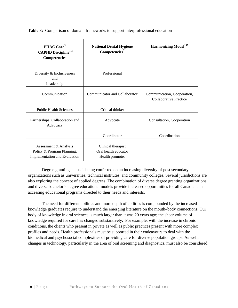**Table 3:** Comparison of domain frameworks to support interprofessional education

| PHAC Core <sup>3</sup><br><b>CAPHD Discipline</b> <sup>158</sup><br><b>Competencies</b> | <b>National Dental Hygiene</b><br>Competencies <sup>7</sup>   | <b>Harmonizing Model</b> <sup>155</sup>                      |
|-----------------------------------------------------------------------------------------|---------------------------------------------------------------|--------------------------------------------------------------|
| Diversity & Inclusiveness<br>and<br>Leadership                                          | Professional                                                  |                                                              |
| Communication                                                                           | Communicator and Collaborator                                 | Communication, Cooperation,<br><b>Collaborative Practice</b> |
| <b>Public Health Sciences</b>                                                           | Critical thinker                                              |                                                              |
| Partnerships, Collaboration and<br>Advocacy                                             | Advocate                                                      | Consultation, Cooperation                                    |
|                                                                                         | Coordinator                                                   | Coordination                                                 |
| Assessment & Analysis<br>Policy & Program Planning,<br>Implementation and Evaluation    | Clinical therapist<br>Oral health educator<br>Health promoter |                                                              |

Degree granting status is being conferred on an increasing diversity of post secondary organizations such as universities, technical institutes, and community colleges. Several jurisdictions are also exploring the concept of applied degrees. The combination of diverse degree granting organizations and diverse bachelor's degree educational models provide increased opportunities for all Canadians in accessing educational programs directed to their needs and interests.

The need for different abilities and more depth of abilities is compounded by the increased knowledge graduates require to understand the emerging literature on the mouth–body connections. Our body of knowledge in oral sciences is much larger than it was 20 years ago; the sheer volume of knowledge required for care has changed substantively. For example, with the increase in chronic conditions, the clients who present in private as well as public practices present with more complex profiles and needs. Health professionals must be supported in their endeavours to deal with the biomedical and psychosocial complexities of providing care for diverse population groups. As well, changes in technology, particularly in the area of oral screening and diagnostics, must also be considered.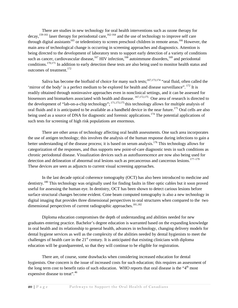There are studies in new technology for oral health interventions such as ozone therapy for decay,  $159-161$  laser therapy for periodontal care,  $162-164$  and the use of technology to improve self care through digital assistants<sup>165</sup> or teledentistry to screen preschool children in remote areas.<sup>166</sup> However, the main area of technological change is occurring in screening approaches and diagnostics. Attention is being directed to the development of laboratory tests to support early detection of a variety of conditions such as cancer, cardiovascular disease,  $^{167}$  HIV infection,  $^{168}$  autoimmune disorders,  $^{169}$  and periodontal conditions.170,171 In addition to early detection these tests are also being used to monitor health status and outcomes of treatment.<sup>172</sup>

Saliva has become the biofluid of choice for many such tests;<sup>167,173,174</sup> "oral fluid, often called the 'mirror of the body' is a perfect medium to be explored for health and disease surveillance". 172 It is readily obtained through noninvasive approaches even in nonclinical settings, and it can be assessed for biosensors and biomarkers associated with health and disease.  $167,172,175$  One area of research is directed to the development of "lab-on-a-chip technology"; 171,173,175 this technology allows for multiple analysis of oral fluids and it is anticipated to be available as a handheld device in the near future.<sup>175</sup> Oral cells are also being used as a source of DNA for diagnostic and forensic applications.<sup>174</sup> The potential applications of such tests for screening of high risk populations are enormous.

There are other areas of technology affecting oral health assessments. One such area incorporates the use of antigen technology; this involves the analysis of the human response during infections to gain a better understanding of the disease process; it is based on serum analysis.<sup>176</sup> This technology allows for categorization of the responses, and thus supports new point-of-care diagnostic tests in such conditions as chronic periodontal disease. Visualization devices such as autofluorescence are now also being used for detection and delineation of abnormal oral lesions such as precancerous and cancerous lesions.<sup>177–179</sup> These devices are seen as adjuncts to current visual screening approaches.

In the last decade optical coherence tomography (OCT) has also been introduced to medicine and dentistry.180 This technology was originally used for finding faults in fiber optic cables but it soon proved useful for assessing the human eye. In dentistry, OCT has been shown to detect carious lesions before surface structural changes become evident. Cone beam computed tomography is also a new technology in digital imaging that provides three dimensional perspectives to oral structures when compared to the two dimensional perspectives of current radiographic approaches.<sup>181,182</sup>

Diploma education compromises the depth of understanding and abilities needed for new graduates entering practice. Bachelor's degree education is warranted based on the expanding knowledge in oral health and its relationship to general health, advances in technology, changing delivery models for dental hygiene services as well as the complexity of the abilities needed by dental hygienists to meet the challenges of health care in the  $21<sup>st</sup>$  century. It is anticipated that existing clinicians with diploma education will be grandparented, so that they will continue to be eligible for registration.

There are, of course, some drawbacks when considering increased education for dental hygienists. One concern is the issue of increased costs for such education; this requires an assessment of the long term cost to benefit ratio of such education. WHO reports that oral disease is the "4<sup>th</sup> most" expensive disease to treat".<sup>46</sup>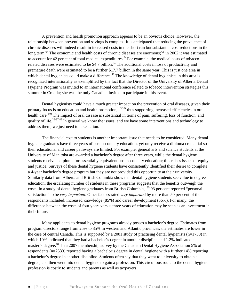A prevention and health promotion approach appears to be an obvious choice. However, the relationship between prevention and savings is complex. It is anticipated that reducing the prevalence of chronic diseases will indeed result in increased costs in the short run but substantial cost reductions in the long term.<sup>64</sup> The economic and health costs of chronic diseases are enormous;<sup>42</sup> in 2002 it was estimated to account for 42 per cent of total medical expenditures.<sup>54</sup> For example, the medical costs of tobacco related diseases were estimated to be \$4.7 billion.<sup>64</sup> The additional costs in loss of productivity and premature death were estimated to be a further \$17.7 billion in the same year. This is just one area in which dental hygienists could make a difference.<sup> $47$ </sup> The knowledge of dental hygienists in this area is recognized internationally as exemplified by the fact that the Director of the University of Alberta Dental Hygiene Program was invited to an international conference related to tobacco intervention strategies this summer in Croatia; she was the only Canadian invited to participate in this event.

Dental hygienists could have a much greater impact on the prevention of oral diseases, given their primary focus is on education and health promotion,<sup>183,184</sup> thus supporting increased efficiencies in oral health care.<sup>149</sup> The impact of oral disease is substantial in terms of pain, suffering, loss of function, and quality of life.<sup>26-37,46</sup> In general we know the issues, and we have some interventions and technology to address them; we just need to take action.

The financial cost to students is another important issue that needs to be considered. Many dental hygiene graduates have three years of post secondary education, yet only receive a diploma credential so their educational and career pathways are limited. For example, general arts and science students at the University of Manitoba are awarded a bachelor's degree after three years, while the dental hygiene students receive a diploma for essentially equivalent post secondary education; this raises issues of equity and justice. Surveys of these dental hygiene students have consistently identified their desire to complete a 4-year bachelor's degree program but they are not provided this opportunity at their university. Similarly data from Alberta and British Columbia show that dental hygiene students see value in degree education; the escalating number of students in these programs suggests that the benefits outweigh the costs. In a study of dental hygiene graduates from British Columbia, 185 93 per cent reported "personal satisfaction" to be *very important*. Other factors rated *very important* by more than 50 per cent of the respondents included: increased knowledge (85%) and career development (56%). For many, the difference between the costs of four years versus three years of education may be seen as an investment in their future.

Many applicants to dental hygiene programs already posses a bachelor's degree. Estimates from program directors range from 25% to 35% in western and Atlantic provinces; the estimates are lower in the case of central Canada. This is supported by a 2001 study of practising dental hygienists (n=1730) in which 10% indicated that they had a bachelor's degree in another discipline and 1.2% indicated a master's degree.<sup>186</sup> In a 2007 membership survey by the Canadian Dental Hygiene Association 5% of respondents (n=2533) reported having a bachelor's degree in dental hygiene with a further 14% reporting a bachelor's degree in another discipline. Students often say that they went to university to obtain a degree, and then went into dental hygiene to gain a profession. This circuitous route to the dental hygiene profession is costly to students and parents as well as taxpayers.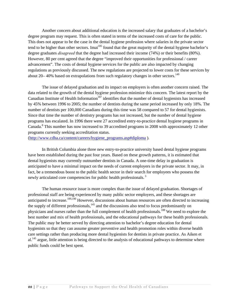Another concern about additional education is the increased salary that graduates of a bachelor's degree program may request. This is often stated in terms of the increased costs of care for the public. This does not appear to be the case in the dental hygiene profession where salaries in the private sector tend to be higher than other sectors. Imai<sup>185</sup> found that the great majority of the dental hygiene bachelor's degree graduates *disagreed* that the degree had increased their income (74%) or their benefits (80%). However, 80 per cent agreed that the degree "improved their opportunities for professional / career advancement". The costs of dental hygiene services for the public are also impacted by changing regulations as previously discussed. The new regulations are projected to lower costs for these services by about 20–40% based on extrapolations from such regulatory changes in other sectors.<sup>149</sup>

The issue of delayed graduation and its impact on employers is often another concern raised. The data related to the growth of the dental hygiene profession minimize this concern. The latest report by the Canadian Institute of Health Information<sup>187</sup> identifies that the number of dental hygienists has increased by 45% between 1996 to 2005; the number of dentists during the same period increased by only 18%. The number of dentists per 100,000 Canadians during this time was 58 compared to 57 for dental hygienists. Since that time the number of dentistry programs has not increased, but the number of dental hygiene programs has escalated. In 1996 there were 27 accredited entry-to-practice dental hygiene programs in Canada.<sup>8</sup> This number has now increased to 39 accredited programs in 2008 with approximately 12 other programs currently seeking accreditation status.

[\(http://www.cdha.ca/content/careers/hygiene\\_programs.asp#diploma]((http://www.cdha.ca/content/careers/hygiene_programs.asp#diploma) ).

In British Columbia alone three new entry-to-practice university based dental hygiene programs have been established during the past four years. Based on these growth patterns, it is estimated that dental hygienists may currently outnumber dentists in Canada. A one-time delay in graduation is anticipated to have a minimal impact on the needs of current employers in the private sector. It may, in fact, be a tremendous boost to the public health sector in their search for employees who possess the newly articulated core competencies for public health professionals.<sup>3</sup>

The human resource issue is more complex than the issue of delayed graduation. Shortages of professional staff are being experienced by many public sector employers, and these shortages are anticipated to increase.<sup>189,190</sup> However, discussions about human resources are often directed to increasing the supply of different professionals, $145$  and the discussions also tend to focus predominantly on physicians and nurses rather than the full complement of health professionals.188 We need to explore the best number and mix of health professionals, and the educational pathways for these health professionals. The public may be better served by directing attention to bachelor's degree education for dental hygienists so that they can assume greater preventive and health promotion roles within diverse health care settings rather than producing more dental hygienists for dentists in private practice. As Aiken et  $al.<sup>145</sup>$  argue, little attention is being directed to the analysis of educational pathways to determine where public funds could be best spent.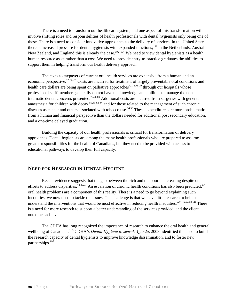<span id="page-25-0"></span>There is a need to transform our health care system, and one aspect of this transformation will involve shifting roles and responsibilities of health professionals with dental hygienists only being one of these. There is a need to consider innovative approaches to the delivery of services. In the United States there is increased pressure for dental hygienists with expanded functions;191 in the Netherlands, Australia, New Zealand, and England this is already the case.<sup>192–194</sup> We need to view dental hygienists as a health human resource asset rather than a cost. We need to provide entry-to-practice graduates the abilities to support them in helping transform our health delivery approach.

The costs to taxpayers of current oral health services are expensive from a human and an economic perspective.72,74–85 Costs are incurred for treatment of largely preventable oral conditions and health care dollars are being spent on palliative approaches<sup>72,74,76,79</sup> through our hospitals whose professional staff members generally do not have the knowledge and abilities to manage the non traumatic dental concerns presented.75,76,80 Additional costs are incurred from surgeries with general anaesthesia for children with decay,<sup>59,63,82-84</sup> and for those related to the management of such chronic diseases as cancer and others associated with tobacco use.<sup>54,55</sup> These expenditures are more problematic from a human and financial perspective than the dollars needed for additional post secondary education, and a one-time delayed graduation.

Building the capacity of our health professionals is critical for transformation of delivery approaches. Dental hygienists are among the many health professionals who are prepared to assume greater responsibilities for the health of Canadians, but they need to be provided with access to educational pathways to develop their full capacity.

## **NEED FOR RESEARCH IN DENTAL HYGIENE**

Recent evidence suggests that the gap between the rich and the poor is increasing despite our efforts to address disparities.<sup>44.49.87</sup> An escalation of chronic health conditions has also been predicted;<sup>1,4</sup> oral health problems are a component of this reality. There is a need to go beyond explaining such inequities; we now need to tackle the issues. The challenge is that we have little research to help us understand the interventions that would be most effective in reducing health inequities.<sup>9,44,49,60,88,115</sup> There is a need for more research to support a better understanding of the services provided, and the client outcomes achieved.

The CDHA has long recognized the importance of research to enhance the oral health and general wellbeing of Canadians.<sup>195</sup> CDHA's *Dental Hygiene Research Agenda*, 2003, identified the need to build the research capacity of dental hygienists to improve knowledge dissemination, and to foster new partnerships.<sup>196</sup>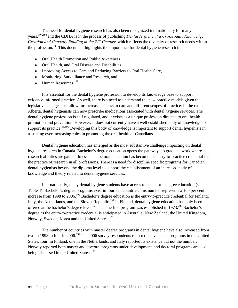The need for dental hygiene research has also been recognized internationally for many years,197,198 and the CDHA is in the process of publishing *Dental Hygiene at a Crossroads: Knowledge Creation and Capacity Building in the 21<sup>st</sup> Century*, which reflects the diversity of research needs within the profession.<sup>195</sup> This document highlights the importance for dental hygiene research in:

- Oral Health Promotion and Public Awareness,
- Oral Health, and Oral Disease and Disabilities,
- Improving Access to Care and Reducing Barriers to Oral Health Care,
- Monitoring, Surveillance and Research, and
- Human Resources. $^{195}$

It is essential for the dental hygiene profession to develop its knowledge base to support evidence-informed practice. As well, there is a need to understand the new practice models given the legislative changes that allow for increased access to care and different scopes of practice. In the case of Alberta, dental hygienists can now prescribe medications associated with dental hygiene services. The dental hygiene profession is self regulated, and it exists as a unique profession directed to oral health promotion and prevention. However, it does not currently have a well established body of knowledge to support its practice.<sup>95,199</sup> Developing this body of knowledge is important to support dental hygienists in assuming ever increasing roles in promoting the oral health of Canadians.

Dental hygiene education has emerged as the most substantive challenge impacting on dental hygiene research in Canada. Bachelor's degree education opens the pathways to graduate work where research abilities are gained. In essence doctoral education has become the entry-to-practice credential for the practice of research in all professions. There is a need for discipline specific programs for Canadian dental hygienists beyond the diploma level to support the establishment of an increased body of knowledge and theory related to dental hygiene services.

Internationally, many dental hygiene students have access to bachelor's degree education (see Table 4). Bachelor's degree programs exist in fourteen countries; this number represents a 100 per cent increase from 1998 to 2006.<sup>192</sup> Bachelor's degree education is the entry-to-practice credential for Finland, Italy, the Netherlands, and the Slovak Republic.<sup>192</sup> In Finland, dental hygiene education has only been offered at the bachelor's degree level<sup>192</sup> since the first program was established in 1973.<sup>200</sup> Bachelor's degree as the entry-to-practice credential is anticipated in Australia, New Zealand, the United Kingdom, Norway, Sweden, Korea and the United States.<sup>192</sup>

The number of countries with master degree programs in dental hygiene have also increased from two in 1998 to four in 2006.<sup>192</sup> The 2006 survey respondents reported eleven such programs in the United States, four in Finland, one in the Netherlands, and Italy reported its existence but not the number. Norway reported both master and doctoral programs under development, and doctoral programs are also being discussed in the United States.<sup>191</sup>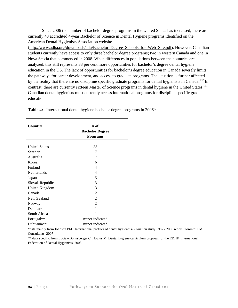Since 2006 the number of bachelor degree programs in the United States has increased; there are currently 48 accredited 4-year Bachelor of Science in Dental Hygiene programs identified on the American Dental Hygienists Association website.

[\(http://www.adha.org/downloads/edu/Bachelor\\_Degree\\_Schools\\_for\\_Web\\_Site.pdf\)](http://www.adha.org/downloads/edu/Bachelor_Degree_Schools_for_Web_Site.pdf). However, Canadian students currently have access to only three bachelor degree programs; two in western Canada and one in Nova Scotia that commenced in 2008. When differences in populations between the countries are analyzed, this still represents 33 per cent more opportunities for bachelor's degree dental hygiene education in the US. The lack of opportunities for bachelor's degree education in Canada severely limits the pathways for career development, and access to graduate programs. The situation is further affected by the reality that there are no discipline specific graduate programs for dental hygienists in Canada.<sup>192</sup> In contrast, there are currently sixteen Master of Science programs in dental hygiene in the United States.<sup>191</sup> Canadian dental hygienists must currently access international programs for discipline specific graduate education.

| Country              | # of                   |  |
|----------------------|------------------------|--|
|                      | <b>Bachelor Degree</b> |  |
|                      | <b>Programs</b>        |  |
|                      |                        |  |
| <b>United States</b> | 33                     |  |
| Sweden               | 7                      |  |
| Australia            | 7                      |  |
| Korea                | 6                      |  |
| Finland              | $\overline{4}$         |  |
| Netherlands          | $\overline{4}$         |  |
| Japan                | 3                      |  |
| Slovak Republic      | 3                      |  |
| United Kingdom       | 3                      |  |
| Canada               | $\overline{2}$         |  |
| New Zealand          | $\overline{2}$         |  |
| Norway               | $\overline{2}$         |  |
| Denmark              | 1                      |  |
| South Africa         | 1                      |  |
| Portugal**           | n=not indicated        |  |
| Lithuania**          | n=not indicated        |  |

**Table 4:** International dental hygiene bachelor degree programs in 2006\*

\*data mainly from Johnson PM. International profiles of dental hygiene: a 21-nation study 1987 - 2006 report. Toronto: PMJ Consultants, 2007

\*\* data specific from Luciak-Donnsberger C, Hovius M. Dental hygiene curriculum proposal for the EDHF. International Federation of Dental Hygienists, 2003.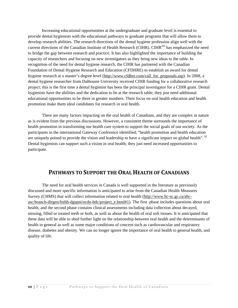<span id="page-28-0"></span>Increasing educational opportunities at the undergraduate and graduate level is essential to provide dental hygienists with the educational pathways to graduate programs that will allow them to develop research abilities. The research directions of the dental hygiene profession align well with the current directions of the Canadian Institute of Health Research (CIHR). CIHR<sup>201</sup> has emphasized the need to bridge the gap between research and practice. It has also highlighted the importance of building the capacity of researchers and focusing on new investigators as they bring new ideas to the table. In recognition of the need for dental hygiene research, the CIHR has partnered with the Canadian Foundation of Dental Hygiene Research and Education (CFDHRE) to establish an award for dental hygiene research at a master's degree level [\(http://www.cfdhre.com/call\\_for\\_proposals.asp](http://www.cfdhre.com/call_for_proposals.asp)). In 2008, a dental hygiene researcher from Dalhousie University received CIHR funding for a collaborative research project; this is the first time a dental hygienist has been the principal investigator for a CIHR grant. Dental hygienists have the abilities and the dedication to be at the research table; they just need additional educational opportunities to be there in greater numbers. Their focus on oral health education and health promotion make them ideal candidates for research in oral health.

There are many factors impacting on the oral health of Canadians, and they are complex in nature as is evident from the previous discussions. However, a consistent theme surrounds the importance of health promotion in transforming our health care system to support the social goals of our society. As the participants in the international Gateway Conference identified; "health promotion and health education are uniquely poised to provide the vision and leadership to have a significant impact on global health". <sup>92</sup> Dental hygienists can support such a vision in oral health; they just need increased opportunities to participate.

# **PATHWAYS TO SUPPORT THE ORAL HEALTH OF CANADIANS**

The need for oral health services in Canada is well supported in the literature as previously discussed and more specific information is anticipated to arise from the Canadian Health Measures Survey (CHMS) that will collect information related to oral health [\(http://www.hc-sc.gc.ca/ahc](http://www.hc-sc.gc.ca/ahc-asc/branch-dirgen/fnihb-dgspni/ocdo-bdc/project_e.html#1)[asc/branch-dirgen/fnihb-dgspni/ocdo-bdc/project\\_e.html#1\)](http://www.hc-sc.gc.ca/ahc-asc/branch-dirgen/fnihb-dgspni/ocdo-bdc/project_e.html#1). The first phase includes questions about oral health, and the second phase contains clinical assessments including data collection about decayed, missing, filled or treated teeth or both, as well as about the health of oral soft tissues. It is anticipated that these data will be able to shed further light on the relationship between oral health and the determinants of health in general as well as some major conditions of concern such as cardiovascular and respiratory disease, diabetes and obesity. We can no longer ignore the importance of oral health to general health, and quality of life.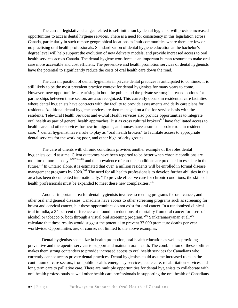The current legislative changes related to self initiation by dental hygienist will provide increased opportunities to access dental hygiene services. There is a need for consistency in this legislation across Canada, particularly in such remote geographical locations as Inuit communities where there are few or no practising oral health professionals. Standardization of dental hygiene education at the bachelor's degree level will help support the evolution of new delivery models, and provide increased access to oral health services across Canada. The dental hygiene workforce is an important human resource to make oral care more accessible and cost efficient. The preventive and health promotion services of dental hygienists have the potential to significantly reduce the costs of oral health care down the road.

The current position of dental hygienists in private dental practices is anticipated to continue; it is still likely to be the most prevalent practice context for dental hygienists for many years to come. However, new opportunities are arising in both the public and the private sectors; increased options for partnerships between these sectors are also recognized. This currently occurs in residential care facilities where dental hygienists have contracts with the facility to provide assessments and daily care plans for residents. Additional dental hygiene services are then managed on a fee-for-service basis with the residents. Tele-Oral Health Services and e-Oral Health services also provide opportunities to integrate oral health as part of general health approaches. Just as cross cultural brokers<sup>147</sup> have facilitated access to health care and other services for new immigrants, and nurses have assumed a broker role in residential care,  $146$  dental hygienist have a role to play as "oral health brokers" to facilitate access to appropriate dental services for the working poor, and other high priority groups.

The care of clients with chronic conditions provides another example of the roles dental hygienists could assume. Client outcomes have been reported to be better when chronic conditions are monitored more closely,<sup>129,202–205</sup> and the prevalence of chronic conditions are predicted to escalate in the future.1,4 In Ontario alone, it is estimated that over a million residents will be enrolled in formal disease management programs by  $2020$ <sup>202</sup>. The need for all health professionals to develop further abilities in this area has been documented internationally. "To provide effective care for chronic conditions, the skills of health professionals must be expanded to meet these new complexities."10

Another important area for dental hygienists involves screening programs for oral cancer, and other oral and general diseases. Canadians have access to other screening programs such as screening for breast and cervical cancer, but these opportunities do not exist for oral cancer. In a randomized clinical trial in India, a 34 per cent difference was found in reductions of mortality from oral cancer for users of alcohol or tobacco or both through a visual oral screening program.  $^{206}$  Sankaranarayanan et al.  $^{206}$ calculate that these results would suggest the potential to prevent 37,000 premature deaths per year worldwide. Opportunities are, of course, not limited to the above examples.

Dental hygienists specialize in health promotion, oral health education as well as providing preventive and therapeutic services to support and maintain oral health. The combination of these abilities makes them strong contenders to provide increased access to oral health services for Canadians who currently cannot access private dental practices. Dental hygienists could assume increased roles in the continuum of care sectors, from public health, emergency services, acute care, rehabilitation services and long term care to palliative care. There are multiple opportunities for dental hygienists to collaborate with oral health professionals as well other health care professionals in supporting the oral health of Canadians.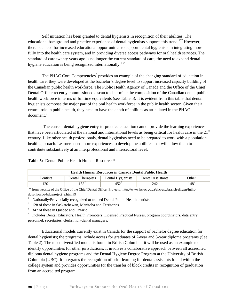Self initiation has been granted to dental hygienists in recognition of their abilities. The educational background and practice experience of dental hygienists supports this trend.<sup>207</sup> However, there is a need for increased educational opportunities to support dental hygienists in integrating more fully into the health care system, and in providing diverse access pathways for oral health services. The standard of care twenty years ago is no longer the current standard of care; the need to expand dental hygiene education is being recognized internationally.<sup>192</sup>

The PHAC Core Competencies<sup>3</sup> provides an example of the changing standard of education in health care; they were developed at the bachelor's degree level to support increased capacity building of the Canadian public health workforce. The Public Health Agency of Canada and the Office of the Chief Dental Officer recently commissioned a scan to determine the composition of the Canadian dental public health workforce in terms of fulltime equivalents (see Table 5). It is evident from this table that dental hygienists compose the major part of the oral health workforce in the public health sector. Given their central role in public health, they need to have the depth of abilities as articulated in the PHAC document.<sup>3</sup>

 The current dental hygiene entry-to-practice education cannot provide the learning experiences that have been articulated at the national and international levels as being critical for health care in the  $21<sup>st</sup>$ century. Like other health professionals, dental hygienists need to be prepared to work with a population health approach. Learners need more experiences to develop the abilities that will allow them to contribute substantively at an interprofessional and intersectoral level.

#### **Table 5:** Dental Public Health Human Resources\*

| <b>Health Human Resources in Canada Dental Public Health</b> |                   |                   |                   |           |
|--------------------------------------------------------------|-------------------|-------------------|-------------------|-----------|
| <b>Dentists</b>                                              | Dental Therapists | Dental Hygienists | Dental Assistants | Other     |
| $20^{\circ}$                                                 | $58^2$            |                   | 242               | $148^{4}$ |

 \* from website of the Office of the Chief Dental Officer Projects: [http://www.hc-sc.gc.ca/ahc-asc/branch-dirgen/fnihb](:  http://www.hc-sc.gc.ca/ahc-asc/branch-dirgen/fnihb-dgspni/ocdo-bdc/project_e.html#9)[dgspni/ocdo-bdc/project\\_e.html#9](:  http://www.hc-sc.gc.ca/ahc-asc/branch-dirgen/fnihb-dgspni/ocdo-bdc/project_e.html#9)

1 Nationally/Provincially recognized or trained Dental Public Health dentists. 2

 $128$  of these in Saskatchewan, Manitoba and Territories

3 347 of these in Quebec and Ontario

<sup>4</sup> Includes Dental Educators, Health Promoters, Licensed Practical Nurses, program coordinators, data entry personnel, secretaries, clerks, non-dental managers.

Educational models currently exist in Canada for the support of bachelor degree education for dental hygienists; the programs include access for graduates of 2-year and 3-year diploma programs (See Table 2). The most diversified model is found in British Columbia; it will be used as an example to identify opportunities for other jurisdictions. It involves a collaborative approach between all accredited diploma dental hygiene programs and the Dental Hygiene Degree Program at the University of British Columbia (UBC). It integrates the recognition of prior learning for dental assistants found within the college system and provides opportunities for the transfer of block credits in recognition of graduation from an accredited program.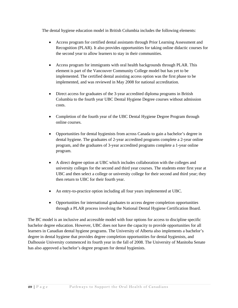The dental hygiene education model in British Columbia includes the following elements:

- Access program for certified dental assistants through Prior Learning Assessment and Recognition (PLAR). It also provides opportunities for taking online didactic courses for the second year to allow learners to stay in their communities.
- Access program for immigrants with oral health backgrounds through PLAR. This element is part of the Vancouver Community College model but has yet to be implemented. The certified dental assisting access option was the first phase to be implemented, and was reviewed in May 2008 for national accreditation.
- Direct access for graduates of the 3-year accredited diploma programs in British Columbia to the fourth year UBC Dental Hygiene Degree courses without admission costs.
- Completion of the fourth year of the UBC Dental Hygiene Degree Program through online courses.
- Opportunities for dental hygienists from across Canada to gain a bachelor's degree in dental hygiene. The graduates of 2-year accredited programs complete a 2-year online program, and the graduates of 3-year accredited programs complete a 1-year online program.
- A direct degree option at UBC which includes collaboration with the colleges and university colleges for the second and third year courses. The students enter first year at UBC and then select a college or university college for their second and third year; they then return to UBC for their fourth year.
- An entry-to-practice option including all four years implemented at UBC.
- Opportunities for international graduates to access degree completion opportunities through a PLAR process involving the National Dental Hygiene Certification Board.

The BC model is an inclusive and accessible model with four options for access to discipline specific bachelor degree education. However, UBC does not have the capacity to provide opportunities for all learners in Canadian dental hygiene programs. The University of Alberta also implements a bachelor's degree in dental hygiene that provides degree completion opportunities for dental hygienists, and Dalhousie University commenced its fourth year in the fall of 2008. The University of Manitoba Senate has also approved a bachelor's degree program for dental hygienists.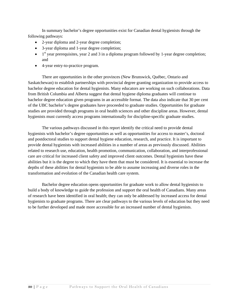In summary bachelor's degree opportunities exist for Canadian dental hygienists through the following pathways:

- 2-year diploma and 2-year degree completion;
- 3-year diploma and 1-year degree completion;
- $\bullet$  1<sup>st</sup> year prerequisites, year 2 and 3 in a diploma program followed by 1-year degree completion; and
- 4-year entry-to-practice program.

 There are opportunities in the other provinces (New Brunswick, Québec, Ontario and Saskatchewan) to establish partnerships with provincial degree granting organization to provide access to bachelor degree education for dental hygienists. Many educators are working on such collaborations. Data from British Columbia and Alberta suggest that dental hygiene diploma graduates will continue to bachelor degree education given programs in an accessible format. The data also indicate that 30 per cent of the UBC bachelor's degree graduates have proceeded to graduate studies. Opportunities for graduate studies are provided through programs in oral health sciences and other discipline areas. However, dental hygienists must currently access programs internationally for discipline-specific graduate studies.

The various pathways discussed in this report identify the critical need to provide dental hygienists with bachelor's degree opportunities as well as opportunities for access to master's, doctoral and postdoctoral studies to support dental hygiene education, research, and practice. It is important to provide dental hygienists with increased abilities in a number of areas as previously discussed. Abilities related to research use, education, health promotion, communication, collaboration, and interprofessional care are critical for increased client safety and improved client outcomes. Dental hygienists have these abilities but it is the degree to which they have them that must be considered. It is essential to increase the depths of these abilities for dental hygienists to be able to assume increasing and diverse roles in the transformation and evolution of the Canadian health care system.

 Bachelor degree education opens opportunities for graduate work to allow dental hygienists to build a body of knowledge to guide the profession and support the oral health of Canadians. Many areas of research have been identified in oral health; they can only be addressed by increased access for dental hygienists to graduate programs. There are clear pathways to the various levels of education but they need to be further developed and made more accessible for an increased number of dental hygienists.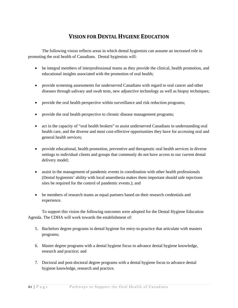# **VISION FOR DENTAL HYGIENE EDUCATION**

<span id="page-33-0"></span>The following vision reflects areas in which dental hygienists can assume an increased role in promoting the oral health of Canadians. Dental hygienists will:

- be integral members of interprofessional teams as they provide the clinical, health promotion, and educational insights associated with the promotion of oral health;
- provide screening assessments for underserved Canadians with regard to oral cancer and other diseases through salivary and swab tests, new adjunctive technology as well as biopsy techniques;
- provide the oral health perspective within surveillance and risk reduction programs;
- provide the oral health perspective to chronic disease management programs;
- act in the capacity of "oral health brokers" to assist underserved Canadians in understanding oral health care, and the diverse and most cost-effective opportunities they have for accessing oral and general health services;
- provide educational, health promotion, preventive and therapeutic oral health services in diverse settings to individual clients and groups that commonly do not have access to our current dental delivery model;
- assist in the management of pandemic events in coordination with other health professionals (Dental hygienists' ability with local anaesthesia makes them important should safe injections sites be required for the control of pandemic events.); and
- be members of research teams as equal partners based on their research credentials and experience.

To support this vision the following outcomes were adopted for the Dental Hygiene Education Agenda. The CDHA will work towards the establishment of:

- 5. Bachelors degree programs in dental hygiene for entry-to-practice that articulate with masters programs;
- 6. Master degree programs with a dental hygiene focus to advance dental hygiene knowledge, research and practice; and
- 7. Doctoral and post-doctoral degree programs with a dental hygiene focus to advance dental hygiene knowledge, research and practice.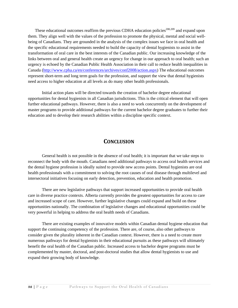<span id="page-34-0"></span>These educational outcomes reaffirm the previous CDHA education policies<sup>208,209</sup> and expand upon them. They align well with the values of the profession to promote the physical, mental and social wellbeing of Canadians. They are grounded in the analysis of the complex issues we face in oral health and the specific educational requirements needed to build the capacity of dental hygienists to assist in the transformation of oral care in the best interests of the Canadian public. Our increasing knowledge of the links between oral and general health create an urgency for change in our approach to oral health; such an urgency is echoed by the Canadian Public Health Association in their call to reduce health inequalities in Canada [\(http://www.cpha.ca/en/conferences/archives/conf2008/action.aspx\)](http://www.cpha.ca/en/conferences/archives/conf2008/action.aspx) The educational outcomes represent short-term and long term goals for the profession, and support the view that dental hygienists need access to higher education at all levels as do many other health professionals.

Initial action plans will be directed towards the creation of bachelor degree educational opportunities for dental hygienists in all Canadian jurisdictions. This is the critical element that will open further educational pathways. However, there is also a need to work concurrently on the development of master programs to provide additional pathways for the current bachelor degree graduates to further their education and to develop their research abilities within a discipline specific context.

# **CONCLUSION**

General health is not possible in the absence of oral health; it is important that we take steps to reconnect the body with the mouth. Canadians need additional pathways to access oral health services and the dental hygiene profession is ideally suited to provide new access points. Dental hygienists are oral health professionals with a commitment to solving the root causes of oral disease through multilevel and intersectoral initiatives focusing on early detection, prevention, education and health promotion.

There are new legislative pathways that support increased opportunities to provide oral health care in diverse practice contexts. Alberta currently provides the greatest opportunities for access to care and increased scope of care. However, further legislative changes could expand and build on these opportunities nationally. The combination of legislative changes and educational opportunities could be very powerful in helping to address the oral health needs of Canadians.

There are existing examples of innovative models within Canadian dental hygiene education that support the continuing competency of the profession. There are, of course, also other pathways to consider given the plurality inherent in the Canadian context. However, there is a need to create more numerous pathways for dental hygienists in their educational pursuits as these pathways will ultimately benefit the oral health of the Canadian public. Increased access to bachelor degree programs must be complemented by master, doctoral, and post-doctoral studies that allow dental hygienists to use and expand their growing body of knowledge.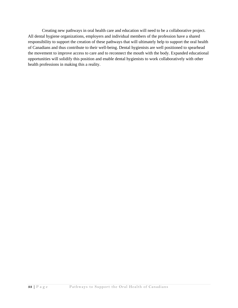Creating new pathways in oral health care and education will need to be a collaborative project. All dental hygiene organizations, employers and individual members of the profession have a shared responsibility to support the creation of these pathways that will ultimately help to support the oral health of Canadians and thus contribute to their well-being. Dental hygienists are well positioned to spearhead the movement to improve access to care and to reconnect the mouth with the body. Expanded educational opportunities will solidify this position and enable dental hygienists to work collaboratively with other health professions in making this a reality.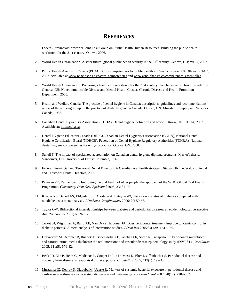## **REFERENCES**

- <span id="page-36-0"></span>1. Federal/Provincial/Territorial Joint Task Group on Public Health Human Resources. Building the public health workforce for the 21st century*.* Ottawa, 2006.
- 2. World Health Organization. A safer future: global public health security in the 21<sup>st</sup> century. Geneva, CH; WHO, 2007.
- 3. Public Health Agency of Canada (PHAC). Core competencies for public health in Canada: release 1.0. Ottawa: PHAC, 2007. Available at [www.phac-aspc.gc.ca/core\\_competencies a](www.phac-aspc.gc.ca/core_competencies)nd [www.aspc-phac.gc.ca/competences\\_essentielles.](www.aspc-phac.gc.ca/competences_essentielles)
- 4. World Health Organization. Preparing a health care workforce for the 21st century: the challenge of chronic conditions. Geneva, CH: Noncommunicable Disease and Mental Health Cluster, Chronic Disease and Health Promotion Department, 2005.
- 5. Health and Welfare Canada. The practice of dental hygiene in Canada: descriptions, guidelines and recommendations: report of the working group on the practice of dental hygiene in Canada*.* Ottawa, ON: Minister of Supply and Services Canada, 1988.
- 6. Canadian Dental Hygienists Association (CDHA). Dental hygiene definition and scope. Ottawa, ON: CDHA, 2002. Available at: [http://cdha.ca.](http://cdha.ca)
- 7. Dental Hygiene Educators Canada (DHEC), Canadian Dental Hygienists Association (CDHA), National Dental Hygiene Certification Board (NDHCB), Federation of Dental Hygiene Regulatory Authorities (FDHRA). National dental hygiene competencies for entry-to-practice. Ottawa, ON: 2008.
- 8. Sunell S. The impact of specialized accreditation on Canadian dental hygiene diploma programs. Master's thesis. Vancouver, BC: University of British Columbia,1996.
- 9. Federal, Provincial and Territorial Dental Directors. A Canadian oral health strategy. Ottawa, ON: Federal, Provincial and Territorial Dental Directors, 2005.
- 10. Petersen PE, Yamamoto T. Improving the oral health of older people: the approach of the WHO Global Oral Health Programme. *Community Dent Oral Epidemiol* 2005; 33: 81–92.
- 11. Khader YS, Dauod AS, El-Qaderi SS, Alkafajei A, Batayha WQ. Periodontal status of diabetics compared with nondiabetics: a meta-analysis. *J Diabetes Complications* 2006; 20: 59-68.
- 12. Taylor GW. Bidirectional interrelationships between diabetes and periodontal diseases: an epidemiological perspective. *Ann Periodontol* 2001; 6: 99-112.
- 13. Janket SJ, Wightman A, Baird AE, Van Dyke TE, Jones JA. Does periodontal treatment improve glycemic control in diabetic patients? A meta-analysis of intervention studies. *J Dent Res* 2005;84(12):1154-1159.
- 14. Desvarieux M, Demmer R, Rundek T, Boden-Albala B, Jacobs D Jr, Sacco R, Papapanou P. Periodontal microbiota and carotid intima-media thickness: the oral infections and vascular disease epidemiology study (INVEST). *Circulation* 2005; 111(5): 576-82.
- 15. Beck JD, Eke P, Heiss G, Madianos P, Couper D, Lin D, Moss K, Elter J, Offenbacher S. Periodontal disease and coronary heart disease: a reappraisal of the exposure. *Circulation* 2005; 112(1): 19-24.
- 16. Mustapha IZ, Debrey S, Oladubu M, Ugarte R. Markers of systemic bacterial exposure in periodontal disease and cardiovascular disease risk: a systematic review and meta-analysis. *J Periodontol* 2007; 78(12): 2289-302.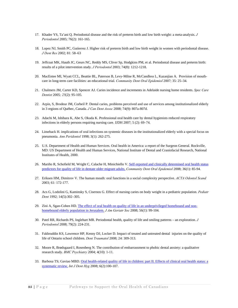- 17. Khader YS, Ta'ani Q. Periodontal disease and the risk of preterm birth and low birth weight: a meta-analysis. *J Periodontol* 2005; 76(2): 161-165.
- 18. Lopez NJ, Smith PC, Gutierrez J. Higher risk of preterm birth and low birth weight in women with periodontal disease. *J Dent Res* 2002; 81: 58–63
- 19. Jeffcoat MK, Hauth JC, Geurs NC, Reddy MS, Cliver Sp, Hodgkins PM, et al. Periodontal disease and preterm birth: results of a pilot intervention study. *J Periodontol* 2003; 74(8): 1212-1218.
- 20. MacEntee MI, Wyatt CCL, Beattie BL, Paterson B, Levy-Milne R, McCandless L, Kazanjian A. Provision of mouthcare in long-term care facilities: an educational trial. *Community Dent Oral Epidemiol* 2007; 35: 25–34.
- 21. Chalmers JM, Carter KD, Spencer AJ. Caries incidence and increments in Adelaide nursing home residents. *Spec Care Dentist* 2005*; 25*(2): 95-105.
- 22. Arpin, S, Brodeur JM, Corbeil P. Dental caries, problems perceived and use of services among institutionalized elderly in 3 regions of Québec, Canada. *J Can Dent Assoc* 2008; 74(9): 807a-807d.
- 23. Adachi M, Ishihara K, Abe S, Okuda K. Professional oral health care by dental hygienists reduced respiratory infections in elderly persons requiring nursing care. IJDH 2007; 5 (2): 69–74.
- 24. Limeback H. implications of oral infections on systemic diseases in the institutionalized elderly with a special focus on pneumonia. *Ann Peridontol* 1998; 3(1): 262-275.
- 25. U.S. Department of Health and Human Services. Oral health in America: a report of the Surgeon General. Rockville, MD: US Department of Health and Human Services, National Institute of Dental and Craniofacial Research, National Institutes of Health, 2000.
- 26. Mariño R, Schofield M, Wright C, Calache H, Minichiello V. [Self-reported and clinically determined oral health status](http://web.ebscohost.com/ehost/viewarticle?data=dGJyMPPp44rp2%2fdV0%2bnjisfk5Ie46bNOtaivUbKk63nn5Kx95uXxjL6nr0ewqq1Krqa2OLKws0%2b4p7U4zsOkjPDX7Ivf2fKB7eTnfLuns06xprFRsKizPurX7H%2b72%2bw%2b4ti7ebfepIzf3btZzJzfhruotku3rbBJtJzkh%2fDj34y73POE6urjkPIA&hid=115)  [predictors for quality of life in dentate older migrant adults.](http://web.ebscohost.com/ehost/viewarticle?data=dGJyMPPp44rp2%2fdV0%2bnjisfk5Ie46bNOtaivUbKk63nn5Kx95uXxjL6nr0ewqq1Krqa2OLKws0%2b4p7U4zsOkjPDX7Ivf2fKB7eTnfLuns06xprFRsKizPurX7H%2b72%2bw%2b4ti7ebfepIzf3btZzJzfhruotku3rbBJtJzkh%2fDj34y73POE6urjkPIA&hid=115) *Community Dent Oral Epidemiol* 2008; 36(1): 85-94.
- 27. Eriksen HM, Dimitrov V. The human mouth: oral functions in a social complexity perspective. *ACTA Odontol Scand* 2003; 61: 172-177.
- 28. Acs G, Lodolini G, Kaminsky S, Cisernos G. Effect of nursing caries on body weight in a pediatric population. *Pediatr Dent* 1992; 14(5):302–305.
- 29. Zini A, Sgan-Cohen HD. [The effect of oral health on quality of life in an underprivileged homebound and non](http://web.ebscohost.com/ehost/viewarticle?data=dGJyMPPp44rp2%2fdV0%2bnjisfk5Ie46bNOtaivUbKk63nn5Kx95uXxjL6nr0ewqq1Krqa2OLGws0m4prU4zsOkjPDX7Ivf2fKB7eTnfLuns06xprFRsKizPurX7H%2b72%2bw%2b4ti7ebfepIzf3btZzJzfhruotkiwqrZKrpzkh%2fDj34y73POE6urjkPIA&hid=2)[homebound elderly population in Jerusalem.](http://web.ebscohost.com/ehost/viewarticle?data=dGJyMPPp44rp2%2fdV0%2bnjisfk5Ie46bNOtaivUbKk63nn5Kx95uXxjL6nr0ewqq1Krqa2OLGws0m4prU4zsOkjPDX7Ivf2fKB7eTnfLuns06xprFRsKizPurX7H%2b72%2bw%2b4ti7ebfepIzf3btZzJzfhruotkiwqrZKrpzkh%2fDj34y73POE6urjkPIA&hid=2) *J Am Geriatr Soc* 2008; 56(1): 99-104.
- 30. Patel RR, Richards PS, Inglehart MR. Periodontal health, quality of life and smiling patterns an exploration. *J Periodontol* 2008; 79(2): 224-231.
- 31. Fakhruddin KS, Lawrence HP, Kenny DJ, Locker D. Impact of treated and untreated dental injuries on the quality of life of Ontario school children. *Dent Traumatol* 2008; 24: 309-313.
- 32. Moore R, Brødsgaard I, Rosenberg N. The contribution of embarrassment to phobic dental anxiety: a qualitative research study. *BMC Psychiatry* 2004; 4(10): 1-11.
- 33. Barbosa TS; Gaviao MBD. [Oral health-related quality of life in children: part II. Effects of clinical oral health status: a](http://web.ebscohost.com/ehost/viewarticle?data=dGJyMPPp44rp2%2fdV0%2bnjisfk5Ie46bNOtaivUbKk63nn5Kx95uXxjL6nr0ewqq1Krqa2OLKws0%2b4p7U4zsOkjPDX7Ivf2fKB7eTnfLuns06xprFRsKizPurX7H%2b72%2bw%2b4ti7e7bepIzf3btZzJzfhruorki3rrdLtqu3PuTl8IXf6rt%2b8%2bLqjOPu8gAA&hid=115)  [systematic review.](http://web.ebscohost.com/ehost/viewarticle?data=dGJyMPPp44rp2%2fdV0%2bnjisfk5Ie46bNOtaivUbKk63nn5Kx95uXxjL6nr0ewqq1Krqa2OLKws0%2b4p7U4zsOkjPDX7Ivf2fKB7eTnfLuns06xprFRsKizPurX7H%2b72%2bw%2b4ti7e7bepIzf3btZzJzfhruorki3rrdLtqu3PuTl8IXf6rt%2b8%2bLqjOPu8gAA&hid=115) *Int J Dent Hyg* 2008; 6(2):100-107.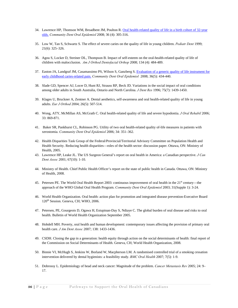- 34. Lawrence HP, Thomson WM, Broadbent JM, Poulton R. Oral health-related quality of life in a birth cohort of 32-year [olds.](http://web.ebscohost.com/ehost/viewarticle?data=dGJyMPPp44rp2%2fdV0%2bnjisfk5Ie46bNOtaivUbKk63nn5Kx95uXxjL6nr0ewqq1Krqa2OLOwrkq4qa44zsOkjPDX7Ivf2fKB7eTnfLuns06xprFRsKizPurX7H%2b72%2bw%2b4ti7e%2bvb4oWk6t9%2fu7fMPt%2fku0m2rLNIt6u1PuTl8IXf6rt%2b8%2bLqjOPu8gAA&hi) *Community Dent Oral Epidemiol* 2008; 36 (4): 305-316.
- 35. Low W, Tan S, Schwartz S. The effect of severe caries on the quality of life in young children. *Pediatr Dent* 1999; 21(6): 325–326.
- 36. Agou S, Locker D, Streiner DL, Thompson B. Impact of self-esteem on the oral-health-related quality of life of children with malocclusion. *Am J Orthod Dentofacial Orthop* 2008; 134 (4): 484-489.
- 37. Easton JA, Landgraf JM, Casamassimo PS, Wilson S, Ganzberg S. Evaluation of a generic quality of life instrument for [early childhood caries-related pain.](http://web.ebscohost.com/ehost/viewarticle?data=dGJyMPPp44rp2%2fdV0%2bnjisfk5Ie46bNOtaivUbKk63nn5Kx95uXxjL6nr0ewqq1Krqa2OLOws0q4qLM4zsOkjPDX7Ivf2fKB7eTnfLunsUyvr69QsKe1PurX7H%2b72%2bw%2b4ti7ebfepIzf3btZzJzfhrupskywq7JLtJzkh%2fDj34y73POE6urjkPIA&hid=117) *Community Dent Oral Epidemiol* 2008; 36(5): 434-440.
- 38. Slade GD, Spencer AJ, Locer D, Hunt RJ, Strauss RP, Beck JD. Variations in the social impact of oral conditions among older adults in South Australia, Ontario and North Carolina. *J Dent Res* 1996; 75(7): 1439-1450.
- 39. Klages U, Bruckner A, Zentner A. Dental aesthetics, self-awareness and oral health-related quality of life in young adults. *Eur J Orthod* 2004; 26(5): 507-514.
- 40. Wong, ATY, McMillan AS, McGrath C. Oral health-related quality of life and severe hypodontia. *J Oral Rehabil* 2006; 33: 869-871.
- 41. Baker SR, Pankhurst CL, Robinson PG. Utility of two oral health-related quality of-life measures in patients with xerostomia. *Community Dent Oral Epidemiol* 2006; 34: 351–362.
- 42. Health Disparities Task Group of the Federal/Provincial/Territorial Advisory Committee on Population Health and Health Security. Reducing health disparities—roles of the health sector: discussion paper. Ottawa, ON: Ministry of Health, 2005.
- 43. Lawrence HP, Leake JL. The US Surgeon General's report on oral health in America: a Canadian perspective. *J Can Dent Assoc* 2001; 67(10): 1-10.
- 44. Ministry of Health. Chief Public Health Officer's report on the state of public health in Canada. Ottawa, ON: Ministry of Health, 2008.
- 45. Petersen PE. The World Oral Health Report 2003: continuous improvement of oral health in the 21<sup>st</sup> century—the approach of the WHO Global Oral Health Program. *Community Dent Oral Epidemiol* 2003; 31(Supple 1): 3-24.
- 46. World Health Organization. Oral health: action plan for promotion and integrated disease prevention-Executive Board 120<sup>th</sup> Session. Geneva, CH; WHO, 2006.
- 47. Petersen, PE, Gourgeois D, Ogawa H, Estupinan-Day S, Ndiaye C. The global burden of oral disease and risks to oral health. Bulletin of World Health Organization September 2005.
- 48. Hobdell MH. Poverty, oral health and human development: contemporary issues affecting the provision of primary oral health care. *J Am Dent Assoc* 2007; 138: 1433-1436.
- 49. CSDH. Closing the gap in a generation: health equity through action on the social determinants of health: final report of the Commission on Social Determinants of Health. Geneva, CH; World Health Organization, 2008.
- 50. Binnie VI, McHugh S, Jenkins W, Borland W, Macpherson LM. A randomised controlled trial of a smoking cessation intervention delivered by dental hygienists: a feasibility study. *BMC Oral Health* 2007; 7(5): 1-9.
- 51. Dobrossy L. Epidemiology of head and neck cancer: Magnitude of the problem. *Cancer Metastasis Rev* 2005; 24: 9– 17.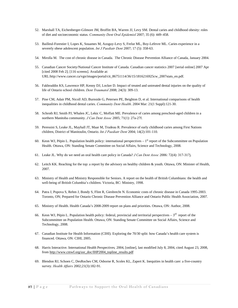- 52. Marshall TA, Eichenberger-Gilmore JM, Broffitt BA, Warren JJ, Levy SM. Dental caries and childhood obesity: roles of diet and socioeconomic status. *Community Dent Oral Epidemiol* 2007; 35 (6): 449–458.
- 53. Bailleul-Forestier I, Lopes K, Souames M, Azoguy-Levy S, Frelut ML, Boy-Lefevre ML. Caries experience in a severely obese adolescent population. *Int J Paediatr Dent* 2007; 17 (5): 358-63.
- 54. Mirolla M. The cost of chronic disease in Canada. The Chronic Disease Prevention Alliance of Canada, January 2004.
- 55. Canadian Cancer Society/National Cancer Institute of Canada. Canadian cancer statistics 2007 [serial online] 2007 Apr [cited 2008 Feb 2]; [116 screens]. Available at: URL:http://www.cancer.ca/vgn/images/portal/cit\_86751114/36/15/1816216925cw\_2007stats\_en.pdf.
- 56. Fakhruddin KS, Lawrence HP, Kenny DJ, Locker D. Impact of treated and untreated dental injuries on the quality of life of Ontario school children. *Dent Traumatol* 2008; 24(3): 309-13.
- 57. Pine CM, Adair PM, Nicoll AD, Burnside G, Petersen PE, Beighton D, et al. International comparisons of health inequalities in childhood dental caries. *Community Dent Health*. 2004 Mar: 21(1 Suppl):121-30.
- 58. Schroth RJ, Smith PJ, Whalen JC, Lekic C, Moffatt ME. Prevalence of caries among preschool-aged children in a northern Manitoba community. *J Can Dent Assoc* 2005; 71(1): 27a-27f.
- 59. Peressini S, Leake JL, Mayhall JT, Maar M, Trudeau R. Prevalence of early childhood caries among First Nations children, District of Manitoulin, Ontario. *Int J Paediatr Dent* 2004; 14(2):101-110.
- 60. Keon WJ, Pépin L. Population health policy: international perspectives  $-1<sup>st</sup>$  report of the Subcommittee on Population Health. Ottawa, ON: Standing Senate Committee on Social Affairs, Science and Technology, 2008.
- 61. Leake JL. Why do we need an oral health care policy in Canada? *J Can Dent Assoc* 2006: 72(4): 317-317j.
- 62. Leitch KK. Reaching for the top: a report by the advisory on healthy children & youth. Ottawa, ON: Minister of Health, 2007.
- 63. Ministry of Health and Ministry Responsible for Seniors. A report on the health of British Columbians: the health and well-being of British Columbia's children. Victoria, BC: Ministry, 1998.
- 64. Patra J, Popova S, Rehm J, Bondy S, Flint R, Giesbrecht N. Economic costs of chronic disease in Canada 1995-2003. Toronto, ON; Prepared for Ontario Chronic Disease Prevention Alliance and Ontario Public Health Association, 2007.
- 65. Ministry of Health. Health Canada's 2008-2009 report on plans and priorities. Ottawa, ON: Author, 2008.
- 66. Keon WJ, Pépin L. Population health policy: federal, provincial and territorial perspectives  $-3^{rd}$  report of the Subcommittee on Population Health. Ottawa, ON: Standing Senate Committee on Social Affairs, Science and Technology, 2008.
- 67. Canadian Institute for Health Information (CIHI). Exploring the 70/30 split: how Canada's health care system is financed. Ottawa, ON: CIHI, 2005.
- 68. Harris Interactive. International Health Perspectives*,* 2004, [online], last modified July 8, 2004, cited August 23, 2008, from [http://www.cmwf.org/usr\\_doc/IHP2004\\_topline\\_results.pdf](http://www.cmwf.org/usr_doc/IHP2004_topline_results.pdf)
- 69. Blendon RJ, Schoen C, DesRoches CM, Osborne R, Scoles KL, Zapert K. Inequities in health care: a five-country survey. *Health Affairs* 2002;21(3):182-91.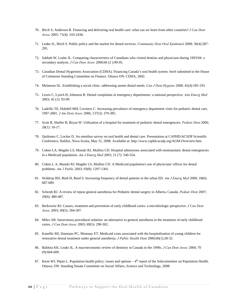- 70. Birch S, Anderson R. Financing and delivering oral health care: what can we learn from other countries? *J Can Dent Assoc* 2005: 71(4): 243-243d.
- 71. Leake JL, Birch S. Public policy and the market for dental services. *Community Dent Oral Epidemiol* 2008; 36(4):287- 295.
- 72. Sabbah W, Leake JL. Comparing characteristics of Canadians who visited dentists and physicians during 1993/94: a secondary analysis. *J Can Dent Assoc* 2000;66 (2 ):90-05.
- 73. Canadian Dental Hygienists Association (CDHA). Financing Canada's oral health system: brief submitted to the House of Commons Standing Committee on Finance. Ottawa ON: CDHA, 2002.
- 74. Melanson SL. Establishing a social clinic: addressing unmet dental needs. *Can J Dent Hygiene* 2008; 42(4):185-193.
- 75. Lewis C, Lynch H, Johnston B. Dental complaints in emergency departments: a national perspective. *Ann Emerg Med* 2003; 42 (1): 93-99.
- 76. Ladrillo TE, Hobdell MH, Caviness C. Increasing prevalence of emergency department visits for pediatric dental care, 1997-2001. *J Am Dent Assoc* 2006; 137(3): 379-385.
- 77. Scott R, Sheller B, Bryan W. Utilization of a hospital for treatment of pediatric dental emergencies. *Pediatr Dent* 2006; 28(1): 10-17.
- 78. Quiñonez C, Locker D. An omnibus survey on oral health and dental care. Presentation at CAPHD/ACSDP Scientific Conference, Halifax, Nova Scotia, May 31, 2008. Available at: http://www.caphd-acsdp.org/AGM-Overview.htm.
- 79. Cohen LA, Magder LS, Manski RJ, Mullins CD. Hospital admissions associated with nontraumatic dental emergencies in a Medicaid population. *Am J Emerg Med* 2003; 21 (7): 540-554.
- 80. Cohen L A, Manski RJ, Magder LS, Mullins CD. A Medicaid population's use of physicians' offices for dental problems. *Am J Public* 2003; 93(8): 1297-1301.
- 81. Waldrop RD, Binh H, Reed S. Increasing frequency of dental patients in the urban ED. *Am J Emerg Med* 2000; 18(6): 687-689.
- 82. Schroth RJ. A review of repeat general anesthesia for Pediatric dental surgery in Alberta, Canada. *Pediatr Dent* 2007; 29(6): 480-487.
- 83. Berkowitz RJ: Causes, treatment and prevention of early childhood caries: a microbiologic perspective. *J Can Dent Assoc* 2003; 69(5): 304-307.
- 84. Miles AR. Intravenous procedural sedation: an alternative to general anesthesia in the treatment of early childhood caries. *J Can Dent Assoc* 2003; 69(5): 298-302.
- 85. Kanellis MJ, Damiano PC, Momany ET. Medicaid costs associated with the hospitalization of young children for restorative dental treatment under general anesthesia. *J Public Health Dent* 2000;60(1):28-32.
- 86. Baldota KK, Leake JL. A macroeconomic review of dentistry in Canada in the 1990s. *J Can Dent Assoc* 2004; 70 (9):604-609.
- 87. Keon WJ, Pépin L. Population health policy: issues and options  $-4<sup>th</sup>$  report of the Subcommittee on Population Health. Ottawa, ON: Standing Senate Committee on Social Affairs, Science and Technology, 2008.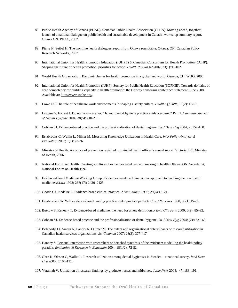- 88. Public Health Agency of Canada (PHAC), Canadian Public Health Association (CPHA). Moving ahead, together; launch of a national dialogue on public health and sustainable development in Canada- workshop summary report. Ottawa ON: PHAC, 2007.
- 89. Pierre N, Seibel H. The frontline health dialogues: report from Ottawa roundtable. Ottawa, ON: Canadian Policy Research Networks, 2007.
- 90. International Union for Health Promotion Education (IUHPE) & Canadian Consortium for Health Promotion (CCHP). Shaping the future of health promotion: priorities for action. *Health Promot Int* 2007; 23(1):98-102.
- 91. World Health Organization. Bangkok charter for health promotion in a globalized world. Geneva, CH; WHO, 2005
- 92. International Union for Health Promotion (IUHP), Society for Public Health Education (SOPHIE). Towards domains of core competency for building capacity in health promotion: the Galway consensus conference statement. June 2008. Available at[: http://www.sophe.org/.](http://www.sophe.org/)
- 93. Lowe GS. The role of healthcare work environments in shaping a safety culture. *Healthc Q 2008*; 11(2): 43-51.
- 94. Lavigne S, Forrest J. Do no harm are you? Is your dental hygiene practice evidence-based? Part 1. *Canadian Journal of Dental Hygiene* 2004; 38(5): 210-219.
- 95. Cobban SJ. Evidence-based practice and the professionalization of dental hygiene. *Int J Dent Hyg* 2004; 2: 152-160.
- *96.* Estabrooks C, Wallin L, Milner M. Measuring Knowledge Utilization in Health Care. *Int J Policy Analysis & Evaluation* 2003; 1(1): 23-36.
- 97. Ministry of Health. An ounce of prevention revisited: provincial health officer's annual report. Victoria, BC: Ministry of Health, 2006.
- 98. National Forum on Health. Creating a culture of evidence-based decision making in health. Ottawa, ON: Secretariat, National Forum on Health,1997.
- 99. Evidence-Based Medicine Working Group. Evidence-based medicine: a new approach to teaching the practice of medicine. *JAMA* 1992; 268(17): 2420–2425.
- 100. Goode CJ, Piedalue F. Evidence-based clinical practice. *J Nurs Admin* 1999; 29(6):15–21.
- 101. Estabrooks CA. Will evidence-based nursing practice make practice perfect? *Can J Nurs Res* 1998; 30(1):15–36.
- 102. Buetow S, Kenealy T. Evidence-based medicine: the need for a new definition. *J Eval Clin Prac* 2000; 6(2): 85–92.
- 103. Cobban SJ. Evidence-based practice and the professionalization of dental hygiene. *Int J Dent Hyg* 2004; (2):152-160.
- 104. Belkhodja O, Amara N, Landry R, Ouimet M. The extent and organizational determinants of research utilization in Canadian health services organizations. *Sci Commun* 2007; 28(3): 377-417
- 105. Hanney S. [Personal interaction with researchers or detached synthesis of the evidence: modelling the health policy](http://web.ebscohost.com/ehost/viewarticle?data=dGJyMPPp44rp2%2fdV0%2bnjisfk5Ie46bNOtaivUbKk63nn5Kx95uXxjL6rrUm1pbBIrq2eT7imr1KzqJ5oy5zyit%2fk8Xnh6ueH7N%2fiVa%2busEy0p7NKs6ekhN%2fk5VXj5KR84LPfiOac8nnls79mpNfsVa%2btt06yprRIpNztiuvX8lXk6%2bqE0tv2jAAA&hid=107)  [paradox.](http://web.ebscohost.com/ehost/viewarticle?data=dGJyMPPp44rp2%2fdV0%2bnjisfk5Ie46bNOtaivUbKk63nn5Kx95uXxjL6rrUm1pbBIrq2eT7imr1KzqJ5oy5zyit%2fk8Xnh6ueH7N%2fiVa%2busEy0p7NKs6ekhN%2fk5VXj5KR84LPfiOac8nnls79mpNfsVa%2btt06yprRIpNztiuvX8lXk6%2bqE0tv2jAAA&hid=107) *Evaluation & Research in Education* 2004; 18(1/2): 72-82.
- 106. Öhrn K, Olsson C, Wallin L. Research utilization among dental hygienists in Sweden a national survey. *Int J Dent Hyg* 2005; 3:104-111.
- 107. Veramah V. Utilization of research findings by graduate nurses and midwives. *J Adv Nurs* 2004; 47: 183–191.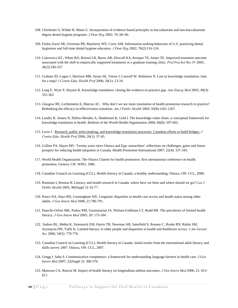- 108. Chichester S, Wilder R, Mann G. Incorporation of evidence-based principles in baccalaureate and non-baccalaureate degree dental hygiene programs. *J Dent Hyg* 2002; 76: 60–66.
- 109. Finley-Zarse SR, Overman PR, Mayberry WE, Corry AM. Information-seeking behaviors of U.S. practicing dental hygienists and full-time dental hygiene educators. *J Dent Hyg* 2002; 76(2):116-124.
- 110. Cukrowicz KC, White BA, Reitzel LR, Burns AB, Driscoll KA, Kemper TS, Joiner TE. Improved treatment outcome associated with the shift to empirically supported treatments in a graduate training clinic. *Prof Psychol Res Pr* 2005; 36(3):330-337.
- 111. Graham ID, Logan J, Harrison MB, Straus SE, Tetroe J, Caswell W. Robinson N. Lost in knowledge translation: time for a map? *J Contin Educ Health Prof* 2006; 26(1): 13-24.
- 112. Lang E, Wyer P, Haynes R. Knowledge translation: closing the evidence-to-practice gap. *Ann Emerg Med* 2003; 49(3): 355-363
- 113. Glasgow RE, Lichtenstein E, Marcus AC. Why don't we see more translation of health promotion research to practice? Rethinking the efficacy-to-effectiveness transition. *Am J Public Health* 2003; 93(8):1261-1267.
- 114. Landry R. Amara N, Pablos-Mendes A, Shademani R, Gold I. The knowledge-value chain: a conceptual framework for knowledge translation in health. Bulletin of the World Health Organization 2006; 84(8): 597-602.
- 115. Lavis J. [Research, public policymaking, and knowledge-translation processes: Canadian efforts to build bridges.](http://web.ebscohost.com/ehost/viewarticle?data=dGJyMPPp44rp2%2fdV0%2bnjisfk5Ie46bNOtaivUbKk63nn5Kx95uXxjL6rrVCtqK5Itpa2UrGpuEy1ls5lpOrweezp33vy3%2b2G59q7UK6vsFGyrq5OpOLfhuWz44ak2uBV36%2fmPvLX5VW%2fxKR57LOwSLCvs0y0p6R%2b7ejrefKz5I3q4vJ99uoA&hid=103) *J Contin Educ Health Prof* 2006; 26(1): 37-45.
- 116. Collins PA, Hayes MV. Twenty years since Ottawa and Epp: researchers' reflections on challenges, gains and future prospect for reducing health inequities in Canada. Health Promotion International 2007; 22(4): 337-345.
- 117. World Health Organization. The Ottawa Charter for health promotion: first international conference on health promotion. Geneva, CH: WHO, 1986.
- 118. Canadian Council on Learning (CCL). Health literacy in Canada: a healthy understanding. Ottawa, ON: CCL, 2008.
- 119. Rootman I, Ronson B. Literacy and health research in Canada: where have we been and where should we go? *Can J Public Health* 2005; 96(Suppl 2): 62-77.
- 120. Ponce NA, Hays RD, Cunningham WE. Linguistic disparities in health care access and health status among older adults. *J Gen Intern Med* 2006; 21:786-791.
- 121. Paasche-Orlow MK, Parker RM, Gazmararian JA, Nielsen-Gohlman LT, Rudd RR. The prevalence of limited health literacy. *J Gen Intern Med* 2005; 20: 175-184.
- 122. Sudore RL, Mehta K, Simonsick EM, Harris TB, Newman AB, Saterfield S, Rosano C, Rooks RN, Rubin SM, Ayonayon HN, Yaffe K. Limited literacy in older people and disparities in health and healthcare access. *J Am Geriatr Soc* 2006; 54(5): 770-776.
- 123. Canadian Council on Learning (CCL). Health literacy in Canada: initial results from the international adult literacy and skills survey 2007. Ottawa, ON: CCL, 2007.
- 124. Gregg J, Saha S. Communicative competence: a framework for understanding language barriers in health care. *J Gen Intern Med* 2007; 22(Suppl 2): 368-370.
- 125. Mancuso CA, Rincon M. Impact of health literacy on longitudinal asthma outcomes. *J Gen Intern Med* 2006; 21: 813- 817.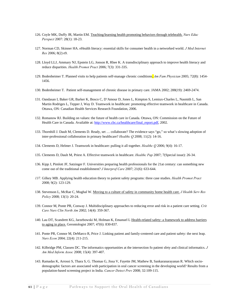- 126. Coyle MK, Duffy JR, Martin EM. [Teaching/learning health promoting behaviors through telehealth.](http://web.ebscohost.com/ehost/viewarticle?data=dGJyMPPp44rp2%2fdV0%2bnjisfk5Ie46bNOtaivUbKk63nn5Kx95uXxjL6nrkewrq1Krqa2OLWwsku4prQ4zsOkjPDX7Ivf2fKB7eTnfLuqtlGuq7ZLtaqkhN%2fk5VXj5KR84LPhUOac8nnls79mpNfsVbCmrlGzprdPr6qkfu3o63nys%2bSN6uLyffbq&hid=120) *Nurs Educ Perspect* 2007: 28(1): 18-23.
- 127. Norman CD, Skinner HA. eHealth literacy: essential skills for consumer health in a networked world. *J Med Internet Res* 2006; 8(2) e9.
- 128. Lloyd LLJ, Ammary NJ, Epstein LG, Jonson R, Rhee K. A transdisciplinary approach to improve health literacy and reduce disparities. *Health Promot Pract* 2006; 7(3): 331-335.
- 129. Bodenheimer T. Planned visits to help patients self-manage chronic conditions. *Am Fam Physician* 2005; 72(8): 1454- 1456.
- 130. Bodenheimer T. Patient self-management of chronic disease in primary care. JAMA 2002; 288(19): 2469-2474.
- 131. Oandasan I, Baker GR, Barker K, Bosco C, D'Amour D, Jones L, Kimpton S, Lemiux-Charles L, Nasmith L, San Martin Rodriges L, Tepper J, Way D. Teamwork in healthcare: promoting effective teamwork in healthcare in Canada. Ottawa, ON: Canadian Health Services Research Foundation, 2006.
- 132. Romanow RJ. Building on values: the future of health care in Canada. Ottawa, ON: Commission on the Future of Health Care in Canada. Available at: [http://www.cbc.ca/healthcare/final\\_report.pdf,](http://www.cbc.ca/healthcare/final_report.pdf) 2002.
- 133. Thornhill J. Dault M, Clements D. Ready, set … collaborate? The evidence says "go," so what's slowing adoption of inter-professional collaboration in primary healthcare? *Healthc Q* 2008; 11(2): 14-16.
- 134. Clements D, Helmer J. Teamwork in healthcare: pulling it all together. *Healthc Q* 2006; 9(4): 16-17.
- 135. Clements D, Dault M, Priest A. Effective teamwork in healthcare. *Healthc Pap* 2007; 7(Special issue): 26-34.
- 136. Kipp J, Pimlott JF, Satzinger F. Universities preparing health professionals for the 21at century: can something new come out of the traditional establishment? *J Interprof Care* 2007; 21(6): 633-644.
- *137.* Gilkey MB. Applying health education theory to patient safety programs: three case studies. *Health Promot Pract* 2008; 9(2): 123-129.
- 138. Stevenson L, McRae C, Mughal W. [Moving to a culture of safety in community home health care.](http://web.ebscohost.com/ehost/viewarticle?data=dGJyMPPp44rp2%2fdV0%2bnjisfk5Ie46bNOtaivUbKk63nn5Kx95uXxjL6nrkewrq1Krqa2OK%2bouE2usLNInrfLPvLo34bx1%2bGM5%2bXsgeKzq0m2qrBQtaayUa%2bc6nns3bt97JziervZtoCk6t9%2fu7fMPt%2fku0quprdQtaezUbGc5Ifw49%2bMu9zzhOrq45Dy&hid=115) *J Health Serv Res Policy* 2008; 13(1): 20-24.
- 139. Connor M, Ponte PR, Conway J. Multidisciplinary approaches to reducing error and risk in a patient care setting. *Crit Care Nurs Clin North Am* 2002; 14(4): 359-367.
- 140. Lau DT, Scandrett KG, Jarzebowski M, Holman K, Emanuel L [Health-related safety: a framework to address barriers](http://web.ebscohost.com/ehost/viewarticle?data=dGJyMPPp44rp2%2fdV0%2bnjisfk5Ie46bNOtaivUbKk63nn5Kx95uXxjL6nrkewrq1Krqa2OK%2bouE2usLNInrfLPvLo34bx1%2bGM5%2bXsgeKzq0m2qrBQtaayUa%2bc6nns3bt97JziervZ633i46SM3927Wcyc34a7p7ZJt6i0S7Sc5Ifw49%2bMu9zzhOrq45Dy&hid=115)  [to aging in place.](http://web.ebscohost.com/ehost/viewarticle?data=dGJyMPPp44rp2%2fdV0%2bnjisfk5Ie46bNOtaivUbKk63nn5Kx95uXxjL6nrkewrq1Krqa2OK%2bouE2usLNInrfLPvLo34bx1%2bGM5%2bXsgeKzq0m2qrBQtaayUa%2bc6nns3bt97JziervZ633i46SM3927Wcyc34a7p7ZJt6i0S7Sc5Ifw49%2bMu9zzhOrq45Dy&hid=115) Gerontologist 2007; 47(6): 830-837.
- 141. Ponte PR, Connor M, DeMarco R, Price J. Linking patient and family-centered care and patient safety: the next leap. *Nurs Econ* 2004; 22(4): 211-215.
- 142. Kilbridge PM, Classen DC. The informatics opportunities at the intersection fo patient sfety and clinical informatics. *J Am Med Inform Assoc* 2008; 15(4): 397-407.
- 143. Ramadas K, Arrossi S, Thara S, G. Thomas G, Jissa V, Fayette JM, Mathew B, Sankaranarayanan R. Which sociodemographic factors are associated with participation in oral cancer screening in the developing world? Results from a population-based screening project in India. *Cancer Detect Prev* 2008; 32:109-115.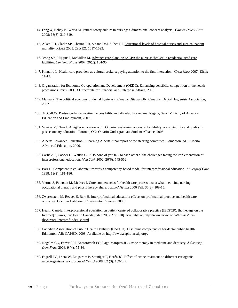- 144. Feng X, Bobay K, Weiss M. [Patient safety culture in nursing: a dimensional concept analysis.](http://web.ebscohost.com/ehost/viewarticle?data=dGJyMPPp44rp2%2fdV0%2bnjisfk5Ie46bNOtaivUbKk63nn5Kx95uXxjL6nrkewra1Krqa2OLewsky4qrY4zsOkjPDX7Ivf2fKB7eTnfLuorkizr7JLsa%2bzPurX7H%2b72%2bw%2b4ti7ebfepIzf3btZzJzfhrupsUivrbNLrpzkh%2fDj34y73POE6urjkPIA&hid=16) *Cancer Detect Prev* 2008; 63(3): 310-319.
- 145. Aiken LH, Clarke SP, Cheung RB, Sloane DM, Silber JH. [Educational levels of hospital nurses and surgical patient](http://web.ebscohost.com/ehost/viewarticle?data=dGJyMPPp44rp2%2fdV0%2bnjisfk5Ie46bNOtaivUbKk63nn5Kx95uXxjL6nrkewrq1Krqa2OLWwsE64qq84zsOkjPDX7Ivf2fKB7eTnfLuqtlGuq7ZLtaqkhN%2fk5VXj5KR84LPhhePa6z7y1%2bVVv8Skeeyzr0yzprRJsKekfu3o63nys%2bSN6uLyffbq&hid=16)  [mortality.](http://web.ebscohost.com/ehost/viewarticle?data=dGJyMPPp44rp2%2fdV0%2bnjisfk5Ie46bNOtaivUbKk63nn5Kx95uXxjL6nrkewrq1Krqa2OLWwsE64qq84zsOkjPDX7Ivf2fKB7eTnfLuqtlGuq7ZLtaqkhN%2fk5VXj5KR84LPhhePa6z7y1%2bVVv8Skeeyzr0yzprRJsKekfu3o63nys%2bSN6uLyffbq&hid=16) *JAMA* 2003; 290(12): 1617-1623.
- 146. Jeong SY, Higgins I, McMillan M. [Advance care planning \(ACP\): the nurse as 'broker' in residential aged care](http://web.ebscohost.com/ehost/viewarticle?data=dGJyMPPp44rp2%2fdV0%2bnjisfk5Ie46bNOtaivUbKk63nn5Kx95uXxjL6nrkewr61Krqa2OLCwrlC4qrM4zsOkjPDX7Ivf2fKB7eTnfLujtE21qa5Os6%2bzPurX7H%2b72%2bw%2b4ti7e%2bvb4oWk6t9%2fu7fMPt%2fku0m2prJJt6y3PuTl8IXf6rt%2b8%2bLqjOPu8gAA&hid=5)  [facilities.](http://web.ebscohost.com/ehost/viewarticle?data=dGJyMPPp44rp2%2fdV0%2bnjisfk5Ie46bNOtaivUbKk63nn5Kx95uXxjL6nrkewr61Krqa2OLCwrlC4qrM4zsOkjPDX7Ivf2fKB7eTnfLujtE21qa5Os6%2bzPurX7H%2b72%2bw%2b4ti7e%2bvb4oWk6t9%2fu7fMPt%2fku0m2prJJt6y3PuTl8IXf6rt%2b8%2bLqjOPu8gAA&) *Contemp Nurse* 2007; 26(2): 184-95.
- 147. Kinnaird L. [Health care providers as cultural brokers: paying attention to the first interaction.](http://web.ebscohost.com/ehost/viewarticle?data=dGJyMPPp44rp2%2fdV0%2bnjisfk5Ie46bNOtaivUbKk63nn5Kx95uXxjL6nrkewr61Krqa2OK%2bouE2xsK9JnsbLPvLo34bx1%2bGM5%2bXsgeKzq06zrbFItKu3TaTi34bls%2bOGpNrgVd%2bv5j7y1%2bVVv8SkeeyzsE2uprFRsaqkfu3o63nys%2bSN6uLyffbq&hid=107) *Creat Nurs* 2007; 13(1): 11-12.
- 148. Organization for Economic Co-operation and Development (OEDC). Enhancing beneficial competition in the health professions. Paris: OECD Directorate for Financial and Enterprise Affairs, 2005.
- 149. Manga P. The political economy of dental hygiene in Canada. Ottawa, ON: Canadian Dental Hygienists Association, 2002
- 150. McCall W. Postsecondary education: accessibility and affordability review. Regina, Sask: Ministry of Advanced Education and Employment, 2007.
- 151. Voakes V, Chan J. A higher education act in Ontario: enshrining access, affordability, accountability and quality in postsecondary education. Toronto, ON: Ontario Undergraduate Student Alliance, 2005.
- 152. Alberta Advanced Education. A learning Alberta: final report of the steering committee. Edmonton, AB: Alberta Advanced Education, 2006.
- 153. Carlisle C, Cooper H, Watkins C. "Do none of you talk to each other?" the challenges facing the implementation of interprofessional education. *Med Tech* 2002; 26(6): 545-552.
- 154. Barr H. Competent to collaborate: towards a competency-based model for interprofessional education. *J Interprof Care* 1998: 12(2): 181-186.
- 155. Verma S, Paterson M, Medves J. Core competencies for health care professionals: what medicine, nursing, occupational therapy and physiotherapy share*. J Allied Health* 2006 Fall; 35(2): 109-15.
- 156. Zwarenstein M, Reeves S, Barr H. Interprofessional education: effects on professional practice and health care outcomes. Cochran Database of Systematic Reviews, 2005.
- 157. Health Canada. Interprofessional education on patient centered collaborative practice (IECPCP). [homepage on the Internet] Ottawa, On: Health Canada [cited 2007 April 10]. Available at: [http://www.hc-sc.gc.ca/hcs-sss/hhr](http://www.hc-sc.gc.ca/hcs-sss/hhr-rhs/strateg/interprof/index_e.html)[rhs/strateg/interprof/index\\_e.html](http://www.hc-sc.gc.ca/hcs-sss/hhr-rhs/strateg/interprof/index_e.html)
- 158. Canadian Association of Public Health Dentistry (CAPHD). Discipline competencies for dental public health. Edmonton, AB: CAPHD, 2008, Available at: [http://www.caphd-acsdp.org/.](http://www.caphd-acsdp.org/)
- 159. Nogales CG, Ferrari PH, Kantorovich EO, Lage-Marques JL. Ozone therapy in medicine and dentistry. *J Contemp Dent Pract* 2008; 9 (4): 75-84.
- 160. Fagrell TG, Dietz W, Lingström P, Steiniger F, Norén JG. Effect of ozone treatment on different cariogenic microorganisms in vitro. *Swed Dent J* 2008; 32 (3): 139-147.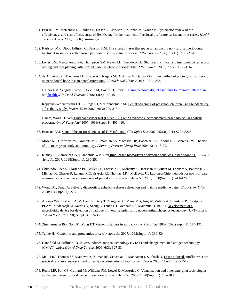- 161. Brazzelli M, McKenzie L, Fielding S, Fraser C, Clarkson J, Kilonzo M, Waugh N. [Systematic review of the](http://web.ebscohost.com/ehost/viewarticle?data=dGJyMPPp44rp2%2fdV0%2bnjisfk5Ie46bNOtaivUbKk63nn5Kx95uXxjL6nr0ewrK1Krqa2OK%2bwrk%2b4qq44v8OkjPDX7Ivf2fKB7eTnfLujtFCvr7NJs6q0PurX7H%2b72%2bw%2b4ti7e%2bvb4oWk6t9%2fu7fMPt%2fku0m0ra5Prq2xPuTl8IXf6rt%2b8%2bLqjOPu8gAA&hid=17)  [effectiveness and cost-effectiveness of HealOzone for the treatment of occlusal pit/fissure caries and root caries.](http://web.ebscohost.com/ehost/viewarticle?data=dGJyMPPp44rp2%2fdV0%2bnjisfk5Ie46bNOtaivUbKk63nn5Kx95uXxjL6nr0ewrK1Krqa2OK%2bwrk%2b4qq44v8OkjPDX7Ivf2fKB7eTnfLujtFCvr7NJs6q0PurX7H%2b72%2bw%2b4ti7e%2bvb4oWk6t9%2fu7fMPt%2fku0m0ra5Prq2xPuTl8IXf6rt%2b8%2bLqjOPu8gAA&hid=17) *Health Technol Assess* 2006; 10 (16): iii-iii-iv,ix.
- 162. Karlsson MR, Diogo Löfgren CI, Jansson HM. The effect of laser therapy as an adjunct to non-surgical periodontal treatment in subjects with chronic periodontitis: a systematic review. *J Periodontol* 2008; 79 (11): 2021-2028.
- 163. Lopes BM, Marcantonio RA, Thompson GM, Neves LH, Theodoro LH. [Short-term clinical and immunologic effects of](http://web.ebscohost.com/ehost/viewarticle?data=dGJyMPPp44rp2%2fdV0%2bnjisfk5Ie46bNOtaivUbKk63nn5Kx95uXxjL6nr0ewrK1Krqa2OLCwsVG4prY4zsOkjPDX7Ivf2fKB7eTnfLunsEmyrbNMtamkhN%2fk5VXj5KR84LPhhePa6z7y1%2bVVv8Skeeyzr1Czr7VNt62kfu3o63nys%2bSN6uLyffbq&hid=113)  [scaling and root planing with Er:YAG laser in chronic periodontitis.](http://web.ebscohost.com/ehost/viewarticle?data=dGJyMPPp44rp2%2fdV0%2bnjisfk5Ie46bNOtaivUbKk63nn5Kx95uXxjL6nr0ewrK1Krqa2OLCwsVG4prY4zsOkjPDX7Ivf2fKB7eTnfLunsEmyrbNMtamkhN%2fk5VXj5KR84LPhhePa6z7y1%2bVVv8Skeeyzr1Czr7VNt62kfu3o63nys%2bSN6uLyffbq&hid=113) *J Periodontol* 2008; 79 (7): 1158-1167.
- 164. de Almeida JM, Theodoro LH, Bosco AF, Nagata MJ, Oshiiwa M, Garcia VG. In vivo effect of photodynamic therapy [on periodontal bone loss in dental furcations.](http://web.ebscohost.com/ehost/viewarticle?data=dGJyMPPp44rp2%2fdV0%2bnjisfk5Ie46bNOtaivUbKk63nn5Kx95uXxjL6nr0ewrK1Krqa2OLCws0%2b4qLM4zsOkjPDX7Ivf2fKB7eTnfLunsEmyrbNMtamkhN%2fk5VXj5KR84LPhhePa6z7y1%2bVVv8Skeeyzr1CzqbFPtq2kfu3o63nys%2bSN6uLyffbq&hid=104) *J Periodontol* 2008; 79 (6): 1081-1088.
- 165. O'Hara DM, Seagriff-Curtin P, Levitz M, Davies D, Stock S. [Using personal digital assistants to improve self-care in](http://web.ebscohost.com/ehost/viewarticle?data=dGJyMPPp44rp2%2fdV0%2bnjisfk5Ie46bNOtaivUbKk63nn5Kx95uXxjL6nr0ewrK1Krqa2OLCws0%2b4qLM4zsOkjPDX7Ivf2fKB7eTnfLunsEmyrbNMtamkhN%2fk5VXj5KR84LPhhePa6z7y1%2bVVv8Skeeyzr1CzqbFPtq2kfu3o63nys%2bSN6uLyffbq&hid=104)  [oral health.](http://web.ebscohost.com/ehost/viewarticle?data=dGJyMPPp44rp2%2fdV0%2bnjisfk5Ie46bNOtaivUbKk63nn5Kx95uXxjL6nr0ewrK1Krqa2OLCws0%2b4qLM4zsOkjPDX7Ivf2fKB7eTnfLunsEmyrbNMtamkhN%2fk5VXj5KR84LPhhePa6z7y1%2bVVv8Skeeyzr1CzqbFPtq2kfu3o63nys%2bSN6uLyffbq&hid=104) *J Telemed Telecare* 2008; 14(3): 150-151.
- 166. Kopycka-Kedzierawski DT, Billings RJ, McConnochie KM. [Dental screening of preschool children using teledentistry:](http://web.ebscohost.com/ehost/viewarticle?data=dGJyMPPp44rp2%2fdV0%2bnjisfk5Ie46bNOtaivUbKk63nn5Kx95uXxjL6nr0ewrK1Krqa2OK%2bouEivsLNNnrfLPvLo34bx1%2bGM5%2bXsgeKzq062p7dNr6uyTqTi34bls%2bOGpNrgVd%2bv5j7y1%2bVVv8SkeeyzsFGxqrNQsKakfu3o63nys%2bSN6uLyffbq&hid=14)  [a feasibility study.](http://web.ebscohost.com/ehost/viewarticle?data=dGJyMPPp44rp2%2fdV0%2bnjisfk5Ie46bNOtaivUbKk63nn5Kx95uXxjL6nr0ewrK1Krqa2OK%2bouEivsLNNnrfLPvLo34bx1%2bGM5%2bXsgeKzq062p7dNr6uyTqTi34bls%2bOGpNrgVd%2bv5j7y1%2bVVv8SkeeyzsFGxqrNQsKakfu3o63nys%2bSN6uLyffbq&hid=14) *Pediatr Dent* 2007; 29(3): 209-213.
- 167. Gau V, Wong D. *Oral* [fluid nanosensor test \(OFNASET\) with advanced electrochemical-based molecular analysis](http://web.ebscohost.com/ehost/viewarticle?data=dGJyMPPp44rp2%2fdV0%2bnjisfk5Ie46bNOtaivUbKk63nn5Kx95uXxjL6nr0ewq61Krqa2OK%2bnuEu3sLJRnsbLPvLo34bx1%2bGM5%2bXsgeKzq062p7dNr6uyTqTi34bls%2bOGpNrgVd%2bv5j7y1%2bVVv8SkeeyzsUqvpq5Ps6ekfu3o63nys%2bSN6uLyffbq&hid=9)  [platform.](http://web.ebscohost.com/ehost/viewarticle?data=dGJyMPPp44rp2%2fdV0%2bnjisfk5Ie46bNOtaivUbKk63nn5Kx95uXxjL6nr0ewq61Krqa2OK%2bnuEu3sLJRnsbLPvLo34bx1%2bGM5%2bXsgeKzq062p7dNr6uyTqTi34bls%2bOGpNrgVd%2bv5j7y1%2bVVv8SkeeyzsUqvpq5Ps6ekfu3o63nys%2bSN6uLyffbq&hid=9) *Ann N Y Acad Sci* 2007: 1098(Suppl 1): 401-410.
- 168. Branson BM[. State of the art for diagnosis of HIV infection.](http://web.ebscohost.com/ehost/viewarticle?data=dGJyMPPp44rp2%2fdV0%2bnjisfk5Ie46bNOtaivUbKk63nn5Kx95uXxjL6nr0ewrK1Krqa2OK%2bouEy2sLJOnrfLPvLo34bx1%2bGM5%2bXsgeKzq062p7dNr6uyTqTi34bls%2bOGpNrgVd%2bv5j7y1%2bVVv8SkeeyzsFCvqbJNta2kfu3o63nys%2bSN6uLyffbq&hid=4) *Clin Infect Dis* 2007: 45(Suppl 4): S221-S225.
- 169. Moser KL, Graffney PM, Grandits ME, Emamian ES, Machado DB, Baechler EC, Rhodus NL, Behrens TW. [The use](http://web.ebscohost.com/ehost/viewarticle?data=dGJyMPPp44rp2%2fdV0%2bnjisfk5Ie46bNOtaivUbKk63nn5Kx95uXxjL6nr0ewq61Krqa2OK%2bnuEu0sK5KnsbLPvLo34bx1%2bGM5%2bXsgeKztVG1q7VOsKuxPurX7H%2b72%2bw%2b4ti7ebfepIzf3btZzJzfhrunr1C0qK5Ospzkh%2fDj34y73POE6urjkPIA&hid=15)  [of microarrays to study autoimmunity.](http://web.ebscohost.com/ehost/viewarticle?data=dGJyMPPp44rp2%2fdV0%2bnjisfk5Ie46bNOtaivUbKk63nn5Kx95uXxjL6nr0ewq61Krqa2OK%2bnuEu0sK5KnsbLPvLo34bx1%2bGM5%2bXsgeKztVG1q7VOsKuxPurX7H%2b72%2bw%2b4ti7ebfepIzf3btZzJzfhrunr1C0qK5Ospzkh%2fDj34y73POE6urjkPIA&hid=15) *J Investig Dermatol Symp Proc* 2004; 9(1): 18-22.
- 170. Kinney JS, Ramseier CA, Giannobile WV. [Oral fluid–based biomarkers of alveolar bone loss in periodontitis.](http://web.ebscohost.com/ehost/viewarticle?data=dGJyMPPp44rp2%2fdV0%2bnjisfk5Ie46bNOtaivUbKk63nn5Kx95uXxjL6nr0ewq61Krqa2OK%2bmuEqusK5JnsbLPvLo34bx1%2bGM5%2bXsgeKztVG1q7VOsKuxPurX7H%2b72%2bw%2b4ti7ebfepIzf3btZzJzfhrupsEmuprVKtpzkh%2fDj34y73POE6urjkPIA&hid=13) *Ann N Y Acad Sci* 2007; 1098(Suppl 1): 230-251.
- 171. Christodoulides N, Floriano PN, Miller CS, Ebersole JL, Mohanty S, Dharshan P, Griffin M, Lennart A, Ballard KL, Michael K, Charles P, Langub MC, Kryscio RJ, Thomas MV, McDevitt JT. Lab-on-a-Chip methods for point-of-care measurements of salivary biomarkers of periodontitis. *Ann N Y Acad Sci* 2007; 1098(Suppl 1): 411-428.
- 172. Wong DT, Segal A. Salivary diagnostics: enhancing disease detection and making medicine better. *Eur J Dent Educ* 2008; 12( Suppl 1): 22-29.
- 173. Abrams WR, Barber CA, McCann K, Gary T, Zongyuan C, Mauk MG, Jing W, Volkov A, Bourdelle P, Corstjens PLAM, Zuiderwijk M, Kardos K, Shang L, Tanke HJ, Niedbala RS, Malamud D, Bau H[. Development of a](http://web.ebscohost.com/ehost/viewarticle?data=dGJyMPPp44rp2%2fdV0%2bnjisfk5Ie46bNOtaivUbKk63nn5Kx95uXxjL6nr0ewrK1Krqa2OK%2bouEivsLNNnrfLPvLo34bx1%2bGM5%2bXsgeKzq062p7dNr6uyTqTi34bls%2bOGpNrgVd%2bv5j7y1%2bVVv8SkeeyzsUqvpq5Psaykfu3o63nys%2bSN6uLyffbq&hid=14)  [microfluidic device for detection of pathogens in oral samples using upconverting phosphor technology \(UPT\).](http://web.ebscohost.com/ehost/viewarticle?data=dGJyMPPp44rp2%2fdV0%2bnjisfk5Ie46bNOtaivUbKk63nn5Kx95uXxjL6nr0ewrK1Krqa2OK%2bouEivsLNNnrfLPvLo34bx1%2bGM5%2bXsgeKzq062p7dNr6uyTqTi34bls%2bOGpNrgVd%2bv5j7y1%2bVVv8SkeeyzsUqvpq5Psaykfu3o63nys%2bSN6uLyffbq&hid=14) *Ann N Y Acad Sci* 2007: 1098( Suppl 1): 375-388.
- 174. Zimmermann BG, Noh JP, Wong DT[. Genomic targets in saliva.](http://web.ebscohost.com/ehost/viewarticle?data=dGJyMPPp44rp2%2fdV0%2bnjisfk5Ie46bNOtaivUbKk63nn5Kx95uXxjL6nr0ewq61Krqa2OK%2bnuEmysLFNnsbLPvLo34bx1%2bGM5%2bXsgeKztVG1q7VOsKuxPurX7H%2b72%2bw%2b4ti7ebfepIzf3btZzJzfhrupsEmuprVNspzkh%2fDj34y73POE6urjkPIA&hid=12) *Ann N Y Acad Sci* 2007; 1098(Suppl 1): 184-191.
- 175. Tanke HJ[. Genomics and proteomics.](http://web.ebscohost.com/ehost/viewarticle?data=dGJyMPPp44rp2%2fdV0%2bnjisfk5Ie46bNOtaivUbKk63nn5Kx95uXxjL6nr0ewrK1Krqa2OK%2bouEi0sLNLnrfLPvLo34bx1%2bGM5%2bXsgeKztVG1q7VOsKuxPurX7H%2b72%2bw%2b4ti7ebfepIzf3btZzJzfhrupsEmuprVJspzkh%2fDj34y73POE6urjkPIA&hid=101) *Ann N Y Acad Sci* 2007; 1098(Suppl 1): 330-334.
- 176. Handfield M, Hillman JD. In vivo induced antigen technology (IVIAT) and change mediated antigen technology (CMAT). *Infect Disord Drug Targets* 2006; 6(3): 327-334.
- 177. Mallia RJ, Thomas SS, Mathews A, Kumar RR, Sebastian P, Madhavan J, Subhash N. [Laser-induced autofluorescence](http://web.ebscohost.com/ehost/viewarticle?data=dGJyMPPp44rp2%2fdV0%2bnjisfk5Ie46bNOtaivUbKk63nn5Kx95uXxjL6nr0ewrK1Krqa2OLGwr0u4q7c4zsOkjPDX7Ivf2fKB7eTnfLunsEmyrbNMtamkhN%2fk5VXj5KR84LPfUeac8nnls79mpNfsVbGns0%2b1qLFQpNztiuvX8lXk6%2bqE8tv2jAAA&hid=16) [spectral ratio reference standard for early discrimination of oral](http://web.ebscohost.com/ehost/viewarticle?data=dGJyMPPp44rp2%2fdV0%2bnjisfk5Ie46bNOtaivUbKk63nn5Kx95uXxjL6nr0ewrK1Krqa2OLGwr0u4q7c4zsOkjPDX7Ivf2fKB7eTnfLunsEmyrbNMtamkhN%2fk5VXj5KR84LPfUeac8nnls79mpNfsVbGns0%2b1qLFQpNztiuvX8lXk6%2bqE8tv2jAAA&hid=16) cancer*.* Cancer 2008; 112(7): 1503-1512.
- 178. Rosin MP, Poh CF, Guillard M, Williams PM, Lewei Z, MacAulay C. Visualization and other emerging technologies as change makers for oral cancer prevention. *Ann N Y Acad Sci* 2007; 1098(Suppl 1): 167-183.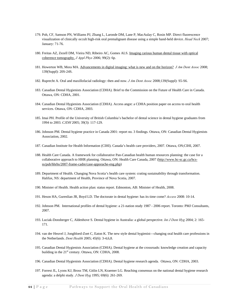- 179. Poh, CF, Samson PN, Williams PJ, Zhang L, Laronde DM, Lane P, MacAulay C, Rosin MP. Direct fluorescence visualization of clinically occult high-risk oral premalignant disease using a simple hand-held device. *Head Neck* 2007; January: 71-76.
- 180. Freitas AZ, Zezell DM, Vieira ND, Ribeiro AC, Gomes ALS. [Imaging carious human dental tissue with optical](http://web.ebscohost.com/ehost/viewarticle?data=dGJyMPPp44rp2%2fdV0%2bnjisfk5Ie46bNOtaivUbKk63nn5Kx95uXxjL6nr0ewq61Krqa2OK%2bnuEqzsLFNnsbLPvLo34bx1%2bGM5%2bXsgeKztVG1q7VOsKuxPurX7H%2b72%2bw%2b4ti7ebfepIzf3btZzJzfhrunt06up7BLtZzkh%2fDj34y73POE6urjkPIA&hid=113)  [coherence tomography.](http://web.ebscohost.com/ehost/viewarticle?data=dGJyMPPp44rp2%2fdV0%2bnjisfk5Ie46bNOtaivUbKk63nn5Kx95uXxjL6nr0ewq61Krqa2OK%2bnuEqzsLFNnsbLPvLo34bx1%2bGM5%2bXsgeKztVG1q7VOsKuxPurX7H%2b72%2bw%2b4ti7ebfepIzf3btZzJzfhrunt06up7BLtZzkh%2fDj34y73POE6urjkPIA&hid=113) *J Appl Phys* 2006; 99(2): 6p.
- 181. Howerton WB, Mora MA. [Advancements in digital imaging: what is new and on the horizon?](http://web.ebscohost.com/ehost/viewarticle?data=dGJyMPPp44rp2%2fdV0%2bnjisfk5Ie46bNOtaivUbKk63nn5Kx95uXxjL6nr0ewrK1Krqa2OK%2bouEy2sLJOnrfLPvLo34bx1%2bGM5%2bXsgeKzq062p7dNr6uyTqTi34bls%2bOGpNrgVd%2bv5j7y1%2bVVv8SkeeyzsUq1rLFNtaqkfu3o63nys%2bSN6uLyffbq&hid=4) *J Am Dent Assoc* 2008; 139(Suppl): 20S-24S.
- 182. Ruprecht A. Oral and maxillofacial radiology: then and now. *J Am Dent Assoc* 2008;139(Suppl): S5-S6.
- 183. Canadian Dental Hygienists Association (CDHA). Brief to the Commission on the Future of Health Care in Canada. Ottawa, ON: CDHA, 2001.
- 184. Canadian Dental Hygienists Association (CDHA). Access angst: a CDHA position paper on access to oral health services. Ottawa, ON: CDHA, 2003.
- 185. Imai PH. Profile of the University of British Columbia's bachelor of dental science in dental hygiene graduates from 1994 to 2003. *CJDH* 2005; 39(3): 117-129.
- 186. Johnson PM. Dental hygiene practice in Canada 2001: report no. 3 findings. Ottawa, ON: Canadian Dental Hygienists Association, 2002.
- 187. Canadian Institute for Health Information (CIHI). Canada's health care providers, 2007. Ottawa, ON;CIHI, 2007.
- 188. Health Care Canada. A framework for collaborative Pan-Canadian health human resources planning: the case for a collaborative approach to HHR planning. Ottawa, ON: Health Care Canada, 2007 [\(http://www.hc-sc.gc.ca/hcs](http://web.ebscohost.com/ehost/viewarticle?data=dGJyMPPp44rp2%2fdV0%2bnjisfk5Ie46bNOtaivUbKk63nn5Kx95uXxjL6nr0ewrK1Krqa2OK%2bouEy2sLJOnrfLPvLo34bx1%2bGM5%2bXsgeKzq062p7dNr6uyTqTi34bls%2bOGpNrgVd%2bv5j7y1%2bVVv8SkeeyzsUq1rLFNtaqkfu3o63nys%2bSN6uLyffbq&hid=4)[ss/pub/hhrhs/2007-frame-cadre/case-apporache-eng.php\)](http://web.ebscohost.com/ehost/viewarticle?data=dGJyMPPp44rp2%2fdV0%2bnjisfk5Ie46bNOtaivUbKk63nn5Kx95uXxjL6nr0ewrK1Krqa2OK%2bouEy2sLJOnrfLPvLo34bx1%2bGM5%2bXsgeKzq062p7dNr6uyTqTi34bls%2bOGpNrgVd%2bv5j7y1%2bVVv8SkeeyzsUq1rLFNtaqkfu3o63nys%2bSN6uLyffbq&hid=4)
- 189. Department of Health. Changing Nova Scotia's health care system: crating sustainability through transformation. Halifax, NS: department of Health, Province of Nova Scotia, 2007.
- 190. Minister of Health. Health action plan: status report. Edmonton, AB: Minister of Health, 2008.
- 191. Heson HA, Gurenlian JR, Boyd LD. The doctorate in dental hygiene: has its time come? *Access* 2008: 10-14.
- 192. Johnson PM. International profiles of dental hygiene: a 21-nation study 1987 2006 report. Toronto: PMJ Consultants, 2007.
- 193. Luciak-Donsberger C, Aldenhove S. Dental hygiene in Australia: a global perspective. *Int J Dent Hyg* 2004; 2: 165- 171.
- 194. van der Heuvel J, Jongbloed-Zoet C, Eaton K. The new style dental hygienist—changing oral health care professions in the Netherlands. *Dent Health* 2005; 45(6): 3-4,6,8.
- 195. Canadian Dental Hygienists Association (CDHA). Dental hygiene at the crossroads: knowledge creation and capacity building in the 21<sup>st</sup> century. Ottawa, ON: CDHA, 2008.
- 196. Canadian Dental Hygienists Association (CDHA). Dental hygiene research agenda. Ottawa, ON: CDHA, 2003.
- 197. Forrest JL, Lyons KJ, Bross TM, Gitlin LN, Kraemer LG. Reaching consensus on the national dental hygiene research agenda: a delphi study*. J Dent Hyg* 1995; 69(6): 261-269.